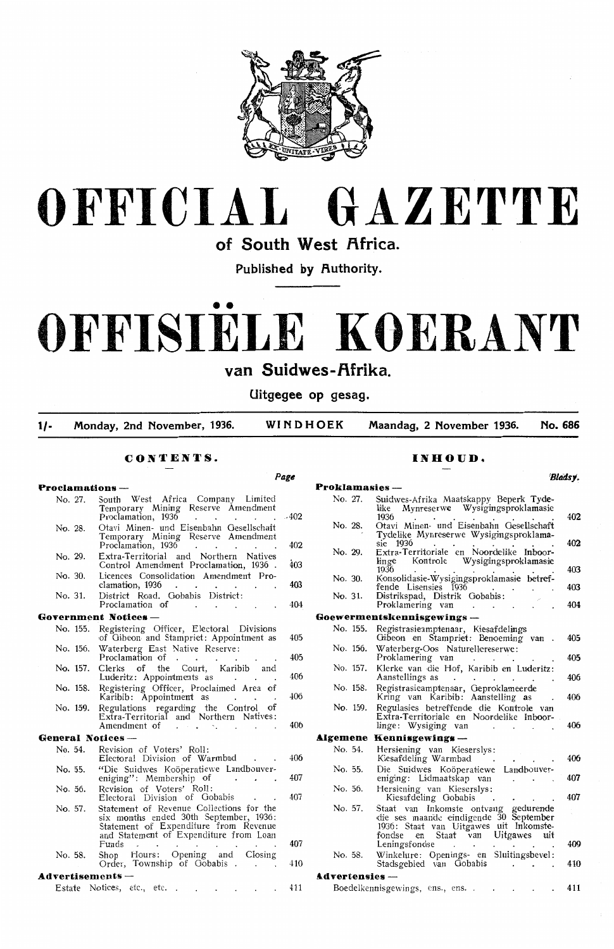

# **OFFICIAL GAZETTE**

of South West **Africa**.

Published by Authority.

# •• **OFFISIELE KOERANT**

**van Suidwes-f\frika.** 

**Uitgegee op gesag.** 

**1/- Monday, 2nd November, 1936. WINDHOEK Maandag, 2 November 1936. No. 686** 

*Pagt1* 

# CONTENTS.

# **Proclamations —**<br>No. 27. South West No. 27. South West Africa Company Limited Temporary Mining Reserve Amendment Proclamation, 1936 . . . . . . . 402 No. 28. Otavi Minen- und Eisenbahn Gesellschaft Temporary Mining Reserve Amendment Proclamation, 1936 . . . . . . 402 No. 29. Extra-Territorial and Northern Natives Extra-refrigerant and increment reduces<br>Control Amendment Proclamation, 1936 . 403 No. 30. Licences Oonsolidation Amendment Pro- $\frac{c}{\text{cleanation}}$ , 1936 . . . . . . 403 No. 31. District Road. Gobabis District Proclamation of . . . . 404 **GoTernment Notices** - No. 155. Registering Officer, Electoral Divisions of Gibeon and Stampriet: Appointment as 405 No. 156. Waterberg East Native Reserve: Proclamation of . . . . . . . . 405<br>Clerks of the Court, Karibib and No. 157. Clerks of the Luderitz: Appointments as . . . . 406 No. 158. Registering Officer, Proclaimed Area of Karibib: Appointment as . . . 406 No. 159. Regulations regarding the Control of Extra-Territorial and Northern Natives:<br>Amendment of . **General Notices** - No. 54. Revision of Voters' Roll Electoral Division of Warmbad . . 406 No. 55. "Die Suidwes Koöperatiewe Landbouver eniging": Membership of . . . 40 No. 56. Revision of Voters' Roll: Electoral Division of Gobabis *40i*  No. 57. Statement of Revenue Collections for the six monrths ended 30th September, 1936 : Statement of Expenditure from Revenue and Statement of Expenditure from Loan<br>Funds 407 No. 58. Shop Hours: Opening and Closing Order, Township of Gobabis . . . 410 **Advertisements** - Estate Notices, etc., etc. . . . . . . 41

# **INHOUD.**

### *'Blaasy.*  **Proklamasies** - Suidwes-Afrika Maatskappy Beperk Tyde-<br>like Mynreserwe Wysigingsproklamasi black es-African matematic Diverse Theory<br>like Mynreserwe Wysigingsproklamasie No. 28. Otavi Minen- und Eisenbahn Gesellschaft Tydelike Mynreserwe Wysigingsproklama-No. 29. Extra-Territoriale en Noordelike Inboordelike<br>linge Kontrole Wysigingsproklamasie<br>1936 1936 . . . . . No. 30. KonsoHdasi,e-Wysigingsproklamasie betrcifende Lisensies 1936 .<br>No. 31. Distrikspad, Distrik Gobabis: Proklamering van **Goewermentskennisgewings** - No. 155. Registrasieamptenaar, Kiesafdelings Gibeon en Stampriet: Benoeming van No. 156. Waterberg-Oos Naturellereserwe:<br>Proklamering van<br>No. 157. Klerke van die Hof Karibib en Klerke van die Hof, Karibib en Luderitz Aanstellings as No. 158. Registrasieamptenaar, Geproklameerde Kring van Karibib: Aanstelling as No. 159. Regulasies betreffende die Kontrole van Extra-Territoriale en Noordelike Inboorlinge: Wysiging van **Algemene Kennisgewings** No. 54. No. 55. No. 56. No. 57. No. 58. Hersiening van Kieserslys: Kiesafdeling Warmbad Die Suidwes Koöperatiewe Landbouver eniging: Udmaatskap van Hersiening van Kieserslys Kiesafdeling Gobabis Staat van Inkomste ontvang gedurende die ses maande eindigende 30 September 1936: Staat van Uitgawes uit lnkomstefondse en Staat van Uitgawes uit Leningsfonds Winkelure: Openings- en Sluitingsbevel<br>Stadsgebied van Gobabis **&.dTertensies** - Boedelkennisgewings, ens., ens.  $40<sup>2</sup>$  $40<sup>2</sup>$  $405$  $40<sup>3</sup>$  $40<sub>4</sub>$ 405  $40<sup>5</sup>$  $40<sup>6</sup>$  $40<sup>4</sup>$  $40<sup>6</sup>$  $40<sup>6</sup>$  $40<sup>7</sup>$  $40'$  $40<sup>9</sup>$  $41$  $41$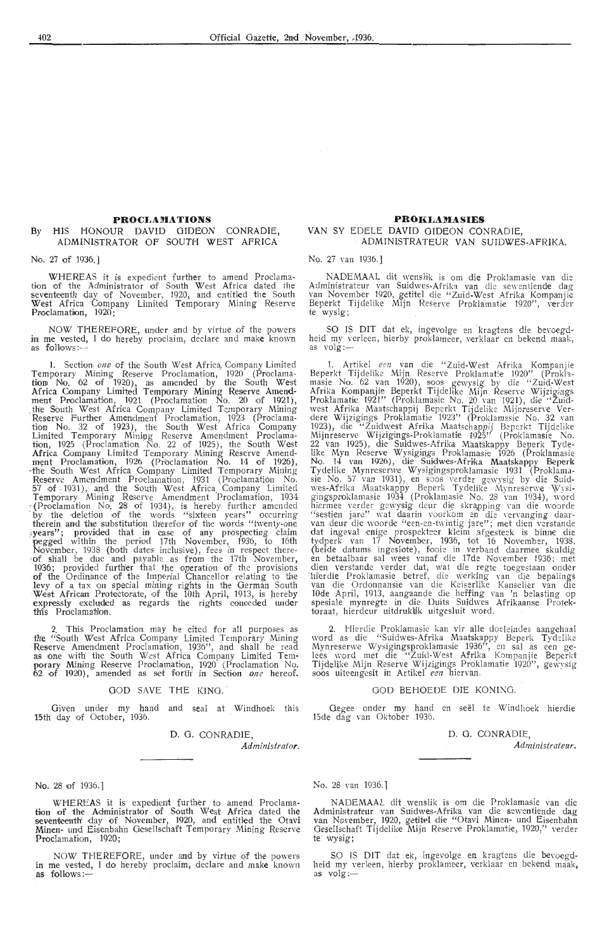# **PROCLAMATIONS**

# By HIS HONOUR DAVID GIDEON CONRADIE, ADMINISTRATOR OF SOUTH WEST AFRICA

# No. 27 of 1936.]

WHEREAS it is expedient further to amend Proclamation of the Administrator of South West Africa dated the seventeenth day of November, 1920, and entitled the South West Africa Company Limited Temporary Mining Reserve Proclamation, 1920;

NOW THEREFORE, under and by virtue of the powers<br>in me vested, I do hereby proclaim, declare and make known in me vested, I do hereby proclaim, declare and mak**e** known<br>as follows:—

1. Section *one* of the South West Africa, Company Limited Temporary Mining Reserve Proclamation, 1920 (Proclamation No. 62 of 1920), as amended by the South West Africa Company Limited Temporary Mining Reserve Amendment Proclamation, 1921 (Proclamation No. 20 of 1921),<br>the South West Africa Company Limited Temporary Mining<br>Reserve Further Amendment Proclamation, 1923 (Proclamation No. 32 of 1923), the South West Africa Company Limited Temporary Mining Reserve Amendment Proclamation, 1925 (Proclamation No. 22 of 1925), the South West Africa Company Limited Temporary Mining Reserve Amend-<br>ment Proclamation, 1926 (Proclamation No. 14 of 1926),<br>•the South West Africa Company Limited Temporary Mining Reserve Amendment Proclamation, 1931 (Proclamation No.  $57$  of  $-1931$ ), and the South West Africa Company Limited Temporary Mining Reserve Amendment Proclamation, 1934<br>A Proclamation No. 28 of 1934), is hereby further amended<br>by the deletion of the words "sixteen years" occurring therein and the substitution therefor of the words "twenty-one ,years"; provided that in case of any prospecting claim pegged within the period 17th November, 1936, to 16th November, 1938 (both dates inclusive), fees in respect there-<br>"Of shall be due and payable as from the 17th November, 1936; provided further that the operation of the provisions of the Ordinance of the Imperial Chancellor relating to the l,evy of a tax on special mining rights in the German South ·West African Pmtedorate, of th'e 10th April, 1913, is hereby expressly excluded as regards the rights eonceded under this Proclamation.

2. This Proclamation may be cited for all purposes as the "South West Africa Company Limited Temporary Mining Reserve Amendment Proclamation, 1936", and shall be read as one with the South West Africa Company Limited Tem-<br>porary Mining Reserve Proclamation, 1920 (Proclamation No. 62 of 1920), amended as set forth<sup>i</sup> in Section one hereof.

# GOD SAVE THE KING.

Given under my hand and seal at Windhoek this 15th day of October, 1936,

D. 0. CONRADIE,

*Administrator.* 

# No. 28 of 1936.]

WHEREAS it is expedient further to amend Proclama tion of the Administrator of South West Africa dated the seventeenth day of November, 1920, and entitled the Otavi Minen- und Eisenbahn Gesellschaft Temporary Mining Reserve Proclamation, 1920;

NOW THEREFORE, urnder and by virtue of the powers in me vested, I do hereby proclaim, declare and make known as follows:-

# **PROKLAMASIES**

# VAN SY EDELE DAVID GIDEON CONRADIE, ADMINISTRATEUR VAN SUIDWES-AFRIKA.

No. 27 van 1936.]

NADEMAAL dit wenslik is om die Proklamasie van die Administrateur van Suidwes-Afrika van die sewentiende dag<br>- van November 1920, getitel die "Zuid-West Afrika Kompanjië Beperkt Tijdelike Mijn Reserve Proklamatie 1920'', verder<br>te wysig;

SO IS DIT dat ek, ingevolge en kragtens die bevoegdheid my verleen, hierby proklameer, verklaar en bekend maak, as volg:-

1. Artikel *een* van die "Zuid-West Afrika Kompanjie Beperkt Tijdelike Mijn Reserve Proklamatie 1920" (Proklamasie No. 62 van 1920), soos gewysig by die "Zuid-West Afrika Kompanjie Beperkt Tijdelike Mijn Reserve Wijzigings<br>Proklamatie 1921'' (Proklamasie No. 20 van 1921), die "Zuidwest Afrika Maatschappij Beperkt Tijdelike Mijnreserve Verdere Wijzigings Proklamatie 1923'' (Proklamasi Mijnreserve Wijzigings-Proklamatie 1925" (Proklamasie No. 22 van 1925), die Suidwes-Afrika Maatskappy Beperk Tyde-<br>like Myn Reserve-Wysigings Proklamasie 1926 (Proklamasie<br>No. 14 van 1926), die Suidwes-Afrika Maatskappy Beperk Tydelike Mynreserwe Wysigingsproklamasie 1931 (Proklamasie No. 57 van 1931), en soos verder gewysig by die Suidwes-Afrika Maatskappy Beperk Tydelike Mynreserwe Wysi-<br>gingsproklamasie 1934 (Proklamasie No. 28 van 1934), word hiermee verder gewysig deur die skrapping van die woorde "sestien jare" wat daarin voorkom en die vervanging daar- van deur die woorde "een- en-twintig jare"; met dien verstande dat ingeval enige prospekteer kleim afgesteek is binne die tydperk van 17 November, 1936, tot 16 November, 1938, (beide datums ingeslote), fooie in verband daarmee skuldig<br>en betaalbaar sal wees vanaf die 17de November 1936; met<br>en betaalbaar sal wees vanaf die 17de November 1936; dien verstande verder dat, wat die regte toegestaan onder<br>'hierdie Proklamasie betref, die werking van die bepalings<br>van die Ordonnansie van die Keiserlike Kanselier van die 10de April, 1913, aangaande die heffing van 'n belasting op spesiale mynregte in die Duits Suidwes Afrikaanse Protektoraat, hierdeur uitdruklik uitgesluit word.

2. Hierdie Proklamasie kan vir alle doeleindes aangehaal word as die "Suidwes-Afrika Maatskappy Beperk Tydelike Mynreserwe Wysigingsproklamasie 1936", en sal as een gelees word met die "Zuid-West Afrika Kompanjie Beperkt Tijdelike Mijn Reserve Wijzigings Proklamatie 1920", gewysig soos uiteengesit in Artikel *een* hiervan.

# GOD BEHOEDE DIE KONING.

Oegee onder my hand en see!. te Windhoek hierdie 15de dag van Oktober 1936.

> D. G. CONRADIE, *Administrateur.*

# No. 28 van 1936. l

NADEMAAL dit wenslik is om die Proklamasie van die Administrateur van Suidwes-Afrika van die sewentiende dag<br>van November, 1920, getitel die "Otavi Minen- und Eisenbahn<br>.Gesellschaft Tijdelike Mijn Reserve Proklamatie, 1920," verder te' wysig;

SO IS DIT dat ek, ingevolge en kragtens die bevoegd heid my verleen, hierby proklameer, verklaar en bekend maak, as volg:—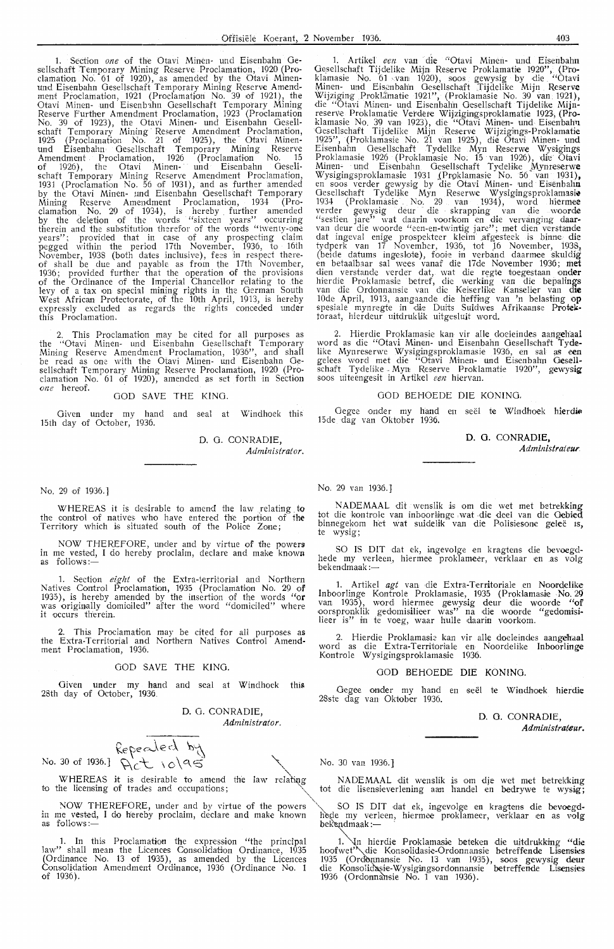1. Section one of the Otavi Minen- und Eisenbahn Gesellschaft Temporary Mining Reserve Proclamation, 1920 (Proclamation No. 61 of 1920), as amended by the Otavi Minenund Eisenbahn Gesellschaft Temporary Mining Reserve Amendment Proclamation, 1921 (Proclamation No. 39 of 1921), the Otavi Minen- und Eisenbahn Gesellschaft Temporary Mining Reserve further Amendment Proclamation, 1923 (Proclamation No. 39 of 1923), the Otavi Minen- und Eisenbahn Gesellschaft Temporary Mining Reserve Amendment Proclamation, 1925 (Proclamation No. 21 of 1925), the Otavi Minenund Eisenbahn Gesellschaft Temporary Mining Reserve Amendment Proclamation, 1926 (Proclamation No. 15 of 1926), the Otavi Minen- und Eisenbahn Gesellschaft Temporary Mining Reserve Amendment Proclamation, 1931 (Proclamation No. 56 of 1931), and as further amended by the Otavi Minen- 1md Eisenbahn Oesellschaft Temporary Minii7g Reserve Amendment Proclamation, 1934 (Pro-clamation No. 29 of 1934), is hereby further amended by the de1etion of the words "sixteen years" occurring therein and the substitution therefor of the words "twentv-one years"; provided that in case of any prospecting claim pegged within the period 17th November, 1936, to 16th November, 1938 (both dates inclusive), fees in respect thereof shall be due and payable as from the 17th November, 1936; provided further that the operation of the provisions of the Ordinance of the Imperial Chancellor relating to .the levy of a tax on, special mining rights in the German South West African Protectorate, of the 10th April, 1913, is hereby expressly excluded as regards the rights conceded under this Proclamation.

2. This Proclamation may be cited for all purposes as the ''Otavi Minen- und Eisenbahn Gesellschaft Temporary Mining Reserve Amendment Proclamation, 1936", and shall be read as one with the Otavi Minen- und Eisenbahn Oesellschaft Temporary Mining Reserve Proclamation, 1920 (Proclamation No. 61 of 1920), amended as set forth in Section *one* hereof.

# GOD SAVE THE KING.

Given under my hand and seal at Windhoek this 15th day of October, 1936.

> D. 0. CONRADIE, *Administrator.*

No. 29 of 1936.]

WHEREAS it is desirable to amend the law relating to control of natives who have entered the portion of the the control of natives who have entered the portion of the Territory which is situated south of the Police Zone;

NOW THEREFORE, under and by virtue of the powers in me vested, I do hereby proclaim, declare and make known as follows:-

1. Section *eight* of the Extra-territorial and Northern Natives Control Proclamation, 1935 (Proclamation No. 29 of 1935), is hereby amended by the insertion of the words "or was originally domiciled" after the word "domiciled" where it occurs therein.

2. This Proclamation may be cited for all purposes as the Extra-Territorial and Northern Natives Control Amendment Proclamation, 1936.

# GOD SAVE THE KING.

Given under my hand and seal at Windhoek this 28th day of October, 1936.

D. 0. CONRADIE, *Administrator.* 

 $kee$ ded by<br>No. 30 of 1936.]  $Rct$   $10$  | 95

**WHEREAS** it is desirable to amend the to the licensing of trades and occupations;

NOW THEREFORE, under and by virtue of the powers SO IS DIT dat ek, ingevolge en kragtens die bevoegd-<br>in me vested, I do hereby proclaim, declare and make known hede my verleen, hiermee proklameer, verklaar en as volg<br>beke

"' 1. In this Proclamation the expression "the principal law" shall mean the Licences ConsoHdati,on Ordinance, 1935 (Ordinance No. 13 of 1935), as amended by the Licences Consolidation Amendment Ordinance, 1936 (Ordinance No. 1 of 1936).

Artikel een van die "Otavi Minen- und Eisenbahn Gesellschaft Tijdelike Mijn Reserve Proklamatie 1920", (Proklamasie No. 61 -varn 1920), soos. gewysig by die "Otavi Minen- und Eisenbahn Gesellschaft Tijdelike Mijn Reserv**e** Wijziging Proklâmatie 1921", (Proklamasie No. 39 van 1921), die "Otavi Minen- und Eisenbahn Oesellschaft Tijdehke **Mijn**reserve Proklamatie Verdere Wijzigingsproklamatie 1923, (Proklamasie No. 39 van 1923), die "Otavi Minen- und Eisenbah'n Gesellschaft Tijdelike Mijn Reserve Wijzigings-Proklamatie 1925", (Proklamasie No. 21 van .1925), die Otavi Minen- und Eisenbahn Gesellschaft Tydelike Myn Reserwe Wysigings Proklamasie 1926 (Proklamasie No; 15 van 1926), die Otavi Minen- und Eisenbahn Gesellschaft Tydelike Mynreserw**e** Wysigingsproklamasie 1931 .(Proklamasie No. 56 van 1931)**,**<br>en soos verder gewysig by die Otavi Minen- und Eisenbah**n** Gesellschaft Tydelike Myn Reserwe Wysigingsproklamasie 1934 (Proklamasie No. 29 van 1934), word hiermee verder gewysig deur die skrapping van die woo**rde** "sestien jare" wat daarin voorkom en die vervanging d**aar-**<br>van deur die woorde "een-en-twintig jare"; met dien verstande dat ingeval enige prospekteer kleim afgesteek is binne die tydperk van 17 November, 1936, tot 16 November, 1938, (beide datums ingeslote), fooie in verband daarmee skuldig<br>en betaalbaar sal wees vanaf die 17de November 1936; m**et** dien verstande verder dat, wat die regte toegestaan onder hierdie Proklamasie betref, die werking van die bepali**ngs**<br>van die Ordonnansie van die Keiserlike Kanselier van di**e** 10de April, 1913, aangaande die heffing van 'n belasting o**p** spesiale mynregte in die Duits Suidwes Afrikaanse Protektoraat, hierdeur uitdrukLik uitgesluit word.

2. Hierdie Proklamasie kan vir alle doeleindes aangehaal word as die "Otavi Minen- und Eisenbahn Gesellschaft Tydelike Mynreserwe Wysigingsproklamasie 1936, en sal as e**en**<br>gelees word met die "Otavi Minen- und Eisenbahn G**e**sellschaft Tydelike - Myn Reserve Proklamatie 1920'', g**e**wys**ig**<br>soos uiteengesit in Artikel *een* hiervan.

# GOD BEHOEDE DIE KONING.

Gegee onder my hand en seël te Windhoek hierdie 15de dag van Oktober 1936.

**D. 0. CONRADIE,** 

*Administrateur* 

No, 29 van 1936.]

NADEMAAL dit wenslik is om die wet met betrekking tot die kontrole van inboorlinge wat die deel van die Gebied binnegekom het wat suidelik van die Polisiesone geleë is, te wysig;

SO IS DIT dat ek, ingevolge en kragtens die bevoegd-<br>hede my verleen, hiermee proklameer, verklaar en .as volg nede my verleen,<br>bekendmaak:—

1. Artikel agt van die Extra-Territoriale en Noordelike Inboorlinge Kontrole Proklamasie, 1935 (Proklamasie No.29)<br>van 1935), word hiermee gewysig deur die woorde "of oorspronklik gedomisilieer was" na die woorde "gedomisilieer is" in te voeg, waar hulle daarin voorkom.

2. Hierdie Proklamasie kan vir alle doeleindes aangehaal word as die Extra-Territoriale en Noordelike Inboorlinge Kontrole Wysigingsproklamasie 1936.

# GOD BEHOEDE DIE KONING.

Gegee onder my hand en seël te Windhoek hierdie 28ste dag van Oktober 1936.

**D.** 0. **CONRADIE,** 

**Administrateur.** 

 $\searrow$  .

NADEMAAL dit wenslik is om dje wet met betrekking tot die lisensieverlening aan handel en bedrywe te wysig;

1. In hierdie Proklamasie beteken die uitdrukking "die hoofwet"\die Konsolidasie-Ordonnansie betreffende Lisensies 1935 (Ordonnansie No. 13 van 1935), soos gewysig deur die Konsolidasie-Wysigingsordonnansie betreffende Lisensies 1936 (Ordonnansie No. 1 van 1936).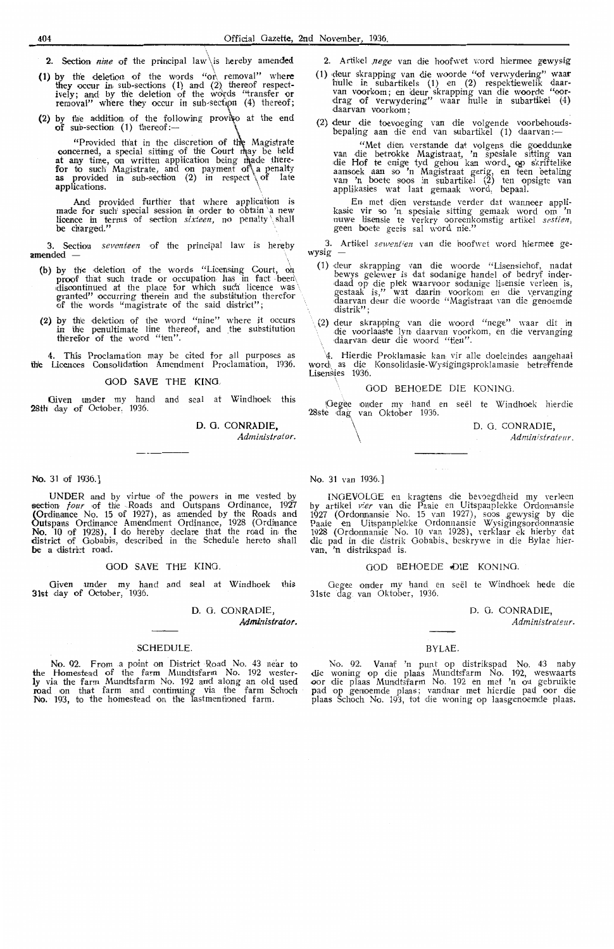- **2. Section** *nine* of the principal law is hereby amended
- (1) by the deletion of the words "or removal" where they occur in sub-sections (1) and (2) thereof respect-<br>ively; and by the deletion of the words "transfer or<br>removal" where they occur in sub-section (4) thereof;
- (2) by the addition of the following proviso at the end of sub-section  $(1)$  thereof:-

"Provided that in the discretion of the Magistrate concerned, a special sitting of the Court may be held at any time, on written application being made there-<br>for to such Magistrate, and on payment of\ a penalty<br>as provided in sub-section (2) in respect \ of late applications.

And provided further that where application is made for such special session in order to obtain a new licence in terms of section *sixteen*, no penalty shall be charged."  $\blacksquare$ 

3. Section *seventeen* of the principal law is hereby amended -

- (b) by the deletion of the words "Licensing Court, on proof that such trade or occupation has in fact been discontinued at the place for which such licence was  $\setminus$ granted" occurring therein and the substitution therefor  $\setminus$  of the words "magistrate of the said district";
- (2) by the deletion of the word "nine" where it occurs in the penultimate line thereof, and the substitution therefor of the word "ten".

4. This Proclamation may be cited for all purposes as the Licences Consolidation Amendment Proclamation, 1936.

GOD SAVE THE KING,

Given under my hand and seal at Windhoek this 28th day of October, 1936.

D. 0. CONRADIE,

*Administrator.* 

# **No.** 31 of 1936.]

UNDER and by virtue of the powers in me vested by section *four* of the Roads and Outspans Ordinance, 1927 (Ordinance No. 15 of 1927), as amended by the Roads and Outspans Ordinance Amendment Ordinance, 1928 (Ordinance No. 10 of 1928), I do hereby declare that the road in the district of Gobabis, described in the Schedule hereto shall be a district road.

# GOD SAVE THE KING.

Given under my hand and seal at Windhoek this 31st day of October, 1936.

**D.** 0. CONRADIE,

# *Admk1istrator.*

### **SCHEDULE**

No. 92. From a point on District Road No. 43 near to the Homestead of the farm Mundtsfarm No. 192 wester**ly** via the farm Mundtsfarm No. 192 and along an old used road on that farm and continuing via the farm Schoch No. 193, to the homestead on the lastmentioned farm.

- 2. Artikel nege van die hoofwet word hiermee gewysig
- **(1)** deur ·skrappin:g van die woorde "of verwyderiing" **waar**  hulle in subartikels (1) en (2) respektiewelik daar-<br>van voorkom; en deur skrapping van die woorde "oordrag of verwydering" waar hulle in subartikel (4) daarvan voorkom;
- (2) deur die toevoeging van die volgende voorbehouds-<br>bepaling aan die end van subartikel (1) daarvan:—

"Met dien verstande dat volgens die goeddunke<br>van die betrokke Magistraat, 'n spesiale sitting van die Hof te enige tyd gehou kan word, op skriftelike aansoek aan so 'n Magistraat gerig, en teen betaling<br>van 'n boete soos in subartikel (2) ten opsigte van<br>applikasies wat laat gemaak word, bepaal.

En met dien verstande verder dat wanneer applikasie vir oo 'n. spesiale sitting gemaak word om 'n nuwe lisensie te verkry ooreenkomstig artikel *sestien,*  geen boete geeis sal word nie."

3. Artikel *sewentien* van die hoofwet word hiermee gewysig -

- (1) deur skrapping van die woorde "Lisensiehof, nadat bewys gelewer is dat sodanige handel of bedryf inder-<br>daad op die plek waarvoor sodanige lisensie verleen is, gestaak is," wat daarin voorkom en die vervanging daarvan deur die woorde "Magistraat van die genoemde .<br>distrik";
- ·, (2) deur skrapping van die woord "nege" waar dit in die voorlaaste lyn daarvan voorkom, en die vervanging daarvan deur die woord "tien".

\I-. Hi,er,die Proklamasi·e kan vir alle doeleindes aangehaal wor,d\ as die Kon,s:olidaste-Wysigingsproklamasi,e betreff.ende Lisensies 1936.

# GOD BEHOEDE DIE KONING.

(Gegee onder my hand en 28ste dag van Oktober 1936. see! te Windhoek hierdie

> D. 0. CONRADIE, *Administrateur.*

# No. 31 *van* 1936.]

 $\overline{\mathcal{N}}$ 

INGEVOLGE en kragtens die bevoegdheid my verleen by artikel vier van die Paaie en Uitspanplekke Ordonnansie 1927 (Ordonnansie No. 15 van 1927), soos gewysig by die Paaie en Uitspanplekke Ordonnansie Wysigingsordonnansie 1928 (Ordonnansie No. 10 van 1928), verklaar ek hierby dat die pad in die distrik Gobabis, beskrywe in die Bylae hiervan, 'n distrikspad is.

## GOD BEHOEDE DIE KONING

Gegee onder my hand en seël te Windhoek hede die 3lste dag van Oktober, 1936.

D. 0. CONRADIE,

*Administrateur.* 

### BYLAE.

No. 92. Vanaf 'n punt op distrikspad No. 43 naby die woning op die plaas Mundtsfarm No. 192, weswaarts oor die plaas Mundtsfarm No. 192 en met 'n ou gebruikte pad op genoemde plaas; vandaar met hierdie pad oor die plaas Schoch No. 193, tot die woning op laasgenoemde· plaas.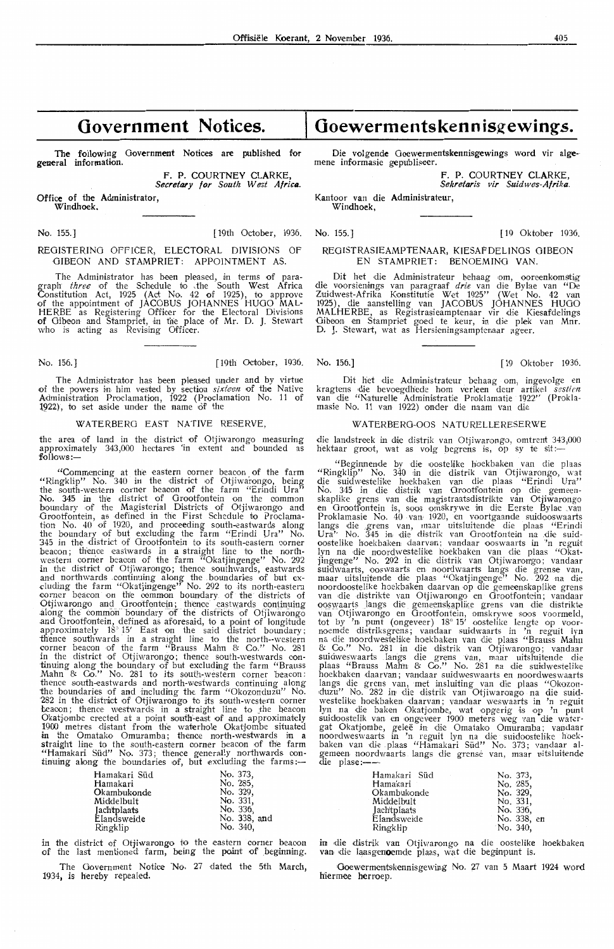# **Government Notices.**

The following Government Notices are published for general information.

> F. P. COURTNEY CLARKE Secretary for South West Africa.

Office of the Administrator, Windhoek.

No. 155.] [ 19th October, 1936.

# REGISTERING OFFICER, ELECTORAL DIVISIONS Of GIBEON AND STAMPRIET: APPOINTMENT AS.

The Administrator has been pleased, in terms of paragraph *three* of the Schedule to ,fhe South West Africa Constitution Act, 1925 (Act No. 42 of 1925), to approve of the appointment of JACOBUS JOHANNES HUGO MAL-HERBE as Registering Officer for the Electoral Divisions of Gibeon and Stampriet, in the place of Mr. D. J. Stewart who is acting as Revising Officer.

No. 156.] [19th October, 1936. No. 156.] [19 Oktober 1936

The Administrator has been pleased under and by virtue of the powers in him vested by section sixteen of the Native Administration Proclamation, 1922 (Proclamation No. 11 of 1922), to set aside under the name of the

# WATERBERG EAST NATIVE RESERVE

the area of land in the district of Otjiwarongo measuring approximately  $343,000$  hectares 'in extent and bounded as follows:-

''Commencing at \_ the eastern comer beacon of the farm "Ringklip" No. 340 in the district of Otjiwarongo, being the south-western corner beaoon of the farm "Erindi Ura" No. 345 in the district of Grootfontein on the common boundary of the Magisterial Districts of Otjiwarongo and Grootfontein, as defined in the First Schedule to Proclamation No. 40 of 1920, and proceeding south-eastwards along<br>the boundary of but excluding the farm "Erindi Ura" No.<br>345 in the district of Grootfontein to its south-eastern corner<br>beacon; thence eastwards in a straight line western corner beacon of the farm <sup>77</sup>Okatjingenge" No. 292 in the district of Otjiwanongo; thence southwards, eastwards<br>and northwards continuing along the southwards, eastwards<br>cluding the farm "Okatjingenge" No. 292 to its north-eastern<br>corner beacon on the common boundary of th Otjiwarongo and Grootfontein; thence eastwards continuing along the common boundary of the districts of Otjiwarongo and Grootfontein, defined as aforesaid, to a point of longitude approximately  $18^{\circ} 15'$  East on the said district boundary; thence southwards in a straight line to the north--western oorner beacon of the farm "Brauss Mahn & Co." No. 281 in the district of Otjiwarongo; thence south-westwards con-<br>tinuing along the boundary of but excluding the farm "Brauss Mahn & Go." No. 281 to its south-western corner beacon: thence south-eastwards and north-westwards continuing along the boundaries of and including the farm "Okozonduzu" No. 282 in the district of Otjiwarongo to its south-western corner beacon; thence westwards in a straight line to the beacon Okatjombe erected at a point south-east of and approximately 1900 metres distant from the waterhole Okatjombe situated in the Omatako Omuramba; thence north-westwards in a<br>straight line to the south-eastern corner beacon of the farm<br>"Hamakari Süd" No. 373; thence generally northwards con-<br>tinuing along the boundaries of, but excluding the

| Hamakari Süd |  | No. 373.     |
|--------------|--|--------------|
| Hamakari     |  | No. 285.     |
| Okambukonde  |  | No. 329.     |
| Middelbult   |  | No. 331.     |
| Jachtplaats  |  | No. 336,     |
| Elandsweide  |  | No. 338, and |
| Ringklip     |  | No. 340,     |
|              |  |              |

in the district of Otjiwarongo to the eastern corner beacor of the last mentioned farm, being the point of beginning

The Government Notice No. 27 dated the 5th March 1934, *is* hereby repealed.

# **Goewermentskennisg-ewings.**

Die volgende Goewermentskennisgewings word vir alge-<br>mene informasie gepubliseer.

**F. P. COURTNEY CLARKE, Sekretaris vir Suidwes-Afrika.** 

**Kantoor van die Administrateur, Windhoek,** 

No. 155.] [ 19 Oktober 1936.

# REGISTRASIEAMPTENAAR, KIESAFDELINGS GIBEON<br>EN STAMPRIET: BENOEMING VAN STATE STEEP

Dit het die Administrateur behaag om, ooreenkomstig die voorsienings van paragraaf *drie* van die Bylae van "De Zuidwest-Afrika Konstitutie Wet 1925" (Wet No. 42 van<br>1925), die aanstelling van JACOBUS JOHANNES HUGO MALHERBE, as Registrasieamptenaar vir die Kiesafdelings Gibeon en Stampriet goed te keur, in die plek van Mnr.<br>D. J. Stewart, wat as Hersieningsamptenaar ageer.

Dit het die Administrateur behaag om, ingevolge en<br>kragtens die bevoegdhede hom verleen deur artikel sestien van die "Naturelle Administratie Proklamatie 1922" (Prokla- masie No. 11 van 1922) onder die naam van die

# WATERBERG-OOS NATURELLERESERWE

die landstreek in die distrik van Otjiwarongo, omtrent 343,000 hektaar groot, wat as volg begrens is, op sy te sit:--

"Beginnende by die oostelike hoekbaken van die plaas ''Ringklip'' No. 340 in die distrik van Otjiwarongo, wat die suidwestelike hoekbaken van die plaas "Erindi Ura" No. 345 in die bisaar van die plaas "Erindi Ura"<br>No. 345 in die distrik van Grootfontein op die gemeen<br>skaplike grens van die magistraatsdistrikte van Otjiwarongs<br>en Grootfontein is, soos omskrywe in die Eerste Bylae van<br>P langs die grens van, maar uitsluitende die plaas "Erindi Ura'<sup>'</sup> No. 345 in die distrik van Grootfontein na die suidoostelike hoekbaken daarvan; vandaar ooswaarts in 'n reguit structure TND. 292 in the distrik van Oljiwarongo; vandaan<br>structure moordwaarts ooswaarts anges die grense van<br>maar uitsluitende die plaas "Okatjingenge" No. 292 na die<br>noordoostelike hoekbaken daarvan op die gemeenskapli ooswaarts langs die gemeenskaplike grens van die distrikte van Otjiwarongo en Orootfontein, omskrywe soos voormeld, tot by 'n punt (ongeveer) 18° 15' oostelike lengte op voor-<br>noemde distriksgrens; vandaar suidwaarts in 'n reguit lyn<br>na die noordwestelike hoekbaken van die plaas "Brauss Mahn & Co." No. 281 in die distrik van Otjiwarongo; vandaar suidweswaarts langs die grens van, maar uitsluitende die plaas "Brauss Mahn & Co." No. 281 na die suidwestelike hoekbaken daarvan; vandaar suidweswaarts langs die grens van, met insluiting van die plaas "Okozoniduzu" No. 282 in d ie distri.k van Otjiwamngo na die suid- westelike hoekbaken daarvan ; vandaar weswaarts in 'n reguit lyn na die baken Okatjombe, wat opgerig is op 'n punt suidoostelik van en ongeveer 1900 meters weg van die watergat Okatjombe, geleë in die Omatako Omuramba; varier water<br>noordweswaarts in 'n reguit lyn na die suidoostelike hoek-<br>baken van die plaas "Hamakari Süd" No. 373; vandaar algemeen noordwaarts langs die grense van, maar uitsluitende die plase :-

| Hamakari Süd | No. 373.    |
|--------------|-------------|
| Hamakari     | No. 285,    |
| Okambukonde  | No. 329,    |
| Middelbult   | No. 331.    |
| Jachtplaats  | No. 336.    |
| Elandsweide  | No. 338, en |
| Ringklip     | No. 340.    |

in die distrik van Otjiwarongo na die oostelike hoekbaken<br>van die laasgemoemde plaas, wat die beginpunt is.

Goewermentskennisgewing No. 27 van 5 Maart 1924 word hiermee herroep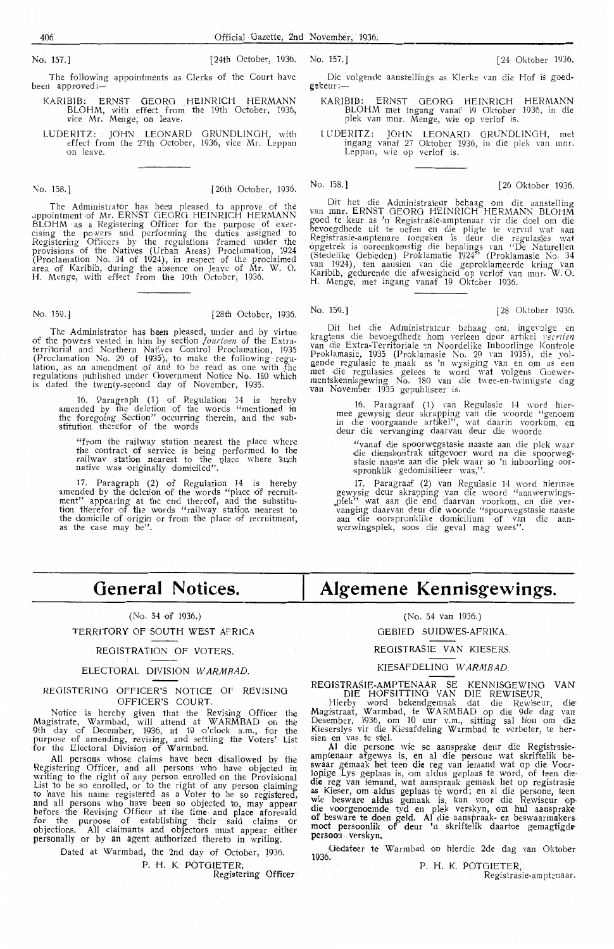The following appointments as Clerks of the Court have been approved:

KA RIBIB: ERNST OEORG HEINRICH HERMANN BLOHM, with effect from the 19th October, 1936, vice Mr. Menge; on 1eave.

LUDERITZ: JOHN LEONARD GRUNDLINGH, with effect from ihe 27th · October, 1936, vice Mr. Leppan on leave.

 $\sim$  158.] [26 Oktober, 1936. No. 158.] [26 Oktober 1936.

The Administrator has been pleased to approve of the appointment of Mr. ERNST GEORG HEINRICH HERMANN BLOHM as a Registering Officer for the purpose of exer-<br>cising the powers and performing the duties assigned to Registering Officers by the regulations framed under the provisions of the Natives (Urban Areas) Proclamation, 1924 (Proclamation No. 34 of **1**924), in respect of the proclaimed area of Karibib, during the absence on leave of Mr. W. O. H. Menge, with effect from the 19th October, 1936.

The Administrator has been pleased, under and by virtue of the powers vested in him by section *jourteen* of the Extra-<br>territorial and Northern Natives Control Proclamation, 1935 (Proclamation No. 29 of 1935), to make the following regu-<br>lation, as an amendment of and to be read as one with .the regulations published under Government Notice No. 180 which is dated the twenty-second day of November, 1935.

16. Paragraph' (1) of Regulation 14 is hereby amended by the deletion of the words "mentioned in the foregoing Section'' occurring therein, and the substitution therefor of the words

"from the railway station nearest the place where the contract of service is being performed to the railwav station nearest to the place where such<br>native was originally domiciled".

17. Paragraph (2) of Regulation 14 is hereby amended by the deletion of the words "place of recruitment" appearing at the end thereof, and the substitution therefor of the words "railway station nearest to the domicile of origin or from the place of recruitment, as the case may be".

# **General Notices.**

# (No. 54 of 1936.)

TERRITORY OF SOUTH WEST AFRICA

# REGISTRATION OF VOTERS.

# ELECTORAL DIVISION WARMBAD.

# REGISTERING OFFICER'S NOTICE OF REVISING OFFICER'S COURT.

Notice is hereby given that the Revising Officer the Magistrate, Warmbad, will attend at WARMBAD on the<br>9th day of December, 1936, at 10 o'clock a.m., for the purpose of amending, revising, and settling the Voters' List for the Electoral Division of Warmbad.

All persons whose claims have been disallowed by the Registering Officer, and all persons who have objected in<br>writing to the right of any person enrolled on the Provisional List to be so enrolled, or to the right of any person claiming to have his name registered as a Voter to be so registered, and all persons who have been so objected to, may appear before the Revising Officer at the time and place aforesaid for the purpose of establishing their said claims or objections. All claimants and objectors must appear either personally or by an agent authorized thereto in writing.

> Dated at Warmbad, the 2nd day of October, 1936. P. H. K. POTGIETER,

Registering Officer

# Die volgende aanstellings as Klerke van die Hof is goed-

gekeur :-

- KARIBIB: ERNST GEORG HEINRICH HERMANN BLOHM met ingang vanaf 19 Oktober 1936, in die plek van mnr. Menge, wie op verlof is.
- lUDERITZ: JOHN LEONARD GRUNDLINGH, met ingang vanaf 27 Oktober 1936, in die plek van mnr.<br>Leppan, wie op verlof is.

Dit het die Administrateur behaag om die aanstelling van rnnr. ERNST GEORG HEINRIC H HERMANN BLOHM goed te keur as 'n Registrasie-amptenaar vir die doel om die<br>bevoegdhede uit te oefen en die pligte te vervul wat aan<br>Registrasie-amptenare toegeken is deur die regulasies wat opgetrek is ooreenkomstig die bepalings van "De Naturellen (Stedelike Oebieden) Proklamatie 1924" (Proklamasie No. 34<br>van 1924), ten aansien van die geproklameerde kring van<br>Karibib, gedurende die afwesigheid op verlof van mnr. W. O. H. Menge, met jngang vanaf 19 Oktober 1936.

No. 159.J [28th October, 1936. No. 159-] [28 Oktober 1936.

Dit het die Administrateur behaag om, ingevolge en kragtens die bevoegdhede hom verleen deur artikel 1981 verleen van *die* E xtra-Territoriale .::n Noordelike Inboorlinge Kontrole Proklamasie, 1935 (Proklamasie No. 29 van 1935), die volgende regulasie te maak as 'n wysiging van en om as een met die regulasies gelees te word wat volgens Goewer-<br>mentskennisgewing No. 180 van die twee-en-twintigste dag **van November 1935 gepubliseer is.** 

16. Paragraaf **(1)** van Regulasie 14 word hier-<br>mee gewysig deur skrapping van die woorde "genoem<br>in die voorgaande artikel", wat daarin voorkom, en<br>deur die vervanging daarvan deur die woorde

"vanaf die spoorwegstasie naaste aan die plek waar<br>die dienskontrak uitgevoer word na die spoorwegstasie naaste aan die plek waar so 'n inboorling oor-<br>spronklik gedomisilieer was,".

17. Paragraaf (2) van Regulasie 14 word hiermc~ gewysig deur sk rapping van die woord "aanwerwings-Jllek" wat aan •i;lie end c\aarvan voork-om,. en die .ver- vanging daarvan deur die woorde "spoorwegstasie naaste aan die oorspronklike domicilium of van die aan- werwingsplek, soos die geval mag wees".

# **Algemene Kennisgewings.**

(No. 54 van 1936.)

# GEBIED SUIDWES-AFRIKA.

REOISTRASIE VAN KIESERS.

# KIESAFDELING WARMBAD.

REGISTRASIE-AMPTENAAR SE KENNISGEWING VAN DIE HOFSITTINO VAN DIE REWISEUR

Hierby word bekendgemaak dat die Rewiseur, die<sup>.</sup><br>Magistraat, Warmbad, te WARMBAD op die 9de dag van<br>Desember, 1936, om 10 uur v.m., sitting sal hou om die: Kieserslys vir die Kiesafdeling Warmbad te verbeter, te hersien en vas te stel.

Al die persone wie se aansprake deur die Registrasieamptenaar. afgewys is, en al die persone wat skriftelik beswaar gemaak het teen die reg van iemand wat op die Voorlopige Lys geplaas is, om aldus geplaas te word, of teen die die reg van iemand, wat aanspraak gemaak het op registrasie as Kieser, om aldus geplaas te word; en al die persone, teen wie besware aldus gemaak is, kan voor die Rewiseur op-<br>die voorgenoemde tyd en plek verskyn, om hul aansprake of besware te doen geld. Al die aanspraak- en beswaarmakers.<br>moet persoonlik of deur 'n skriftelik daartoe gemagtigde-<br>persoon verskyn.

Uedateer te Warmbad op hierdie 2de dag van Oktober 1936.

P. H. K. POTOIETER,

Regfstrasie-amptenaar.

No. 157.] [24th October, 1936. No. 157.] [24 Oktober 1936.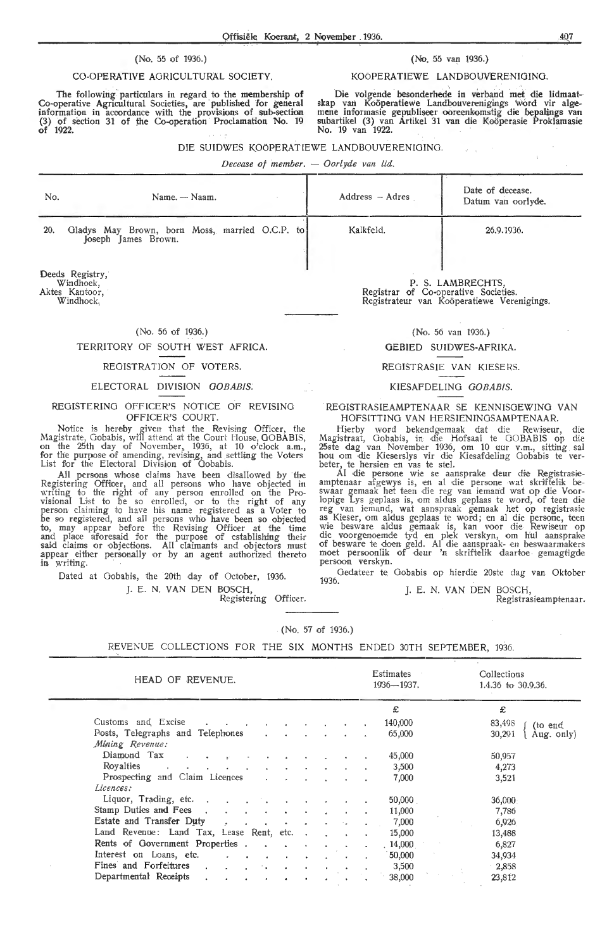# (No. 55 of 1936.)

# CO-OPERATIVE AGRICULTURAL SOCIETY.

The following particulars in regard to the membership of Co-operative Agricultural Societies, are published for general information in accordance with the provisions of sub-section (3) of section 31 of the Co-operation Proclamation No. 19 of 1922.

# (No. 55 van 1936.)

KOÖPERATIEWE LANDBOUVERENIGING.

Die volgende besonderhede in verband met die lidmaatskap van Koöperatiewe Landbouverenigings 'word vir alge-<br>mene informasie gepubliseer ooreenkomstig die bepalings van<br>subartikel (3) van Artikel 31 van die Koöperasie Proklamasie No. 19 van 1922.

 $\omega = \sqrt{\frac{2}{3}}$ 

# DIE SUIDWES KOOPERATIEWE LANDBOUVERENIGING.

*Decease of member.* - *Oorlyde van lid.* 

| No.                                      | Name. — Naam.                                                         | Address - Adres | Date of decease.<br>Datum van oorlyde. |
|------------------------------------------|-----------------------------------------------------------------------|-----------------|----------------------------------------|
| 20.                                      | Gladys May Brown, born Moss, married O.C.P. to<br>Joseph James Brown. | Kalkfeld.       | 26.9.1936.                             |
| Deeds Registry,<br>Windhoek,<br>$\cdots$ |                                                                       | $\sim$ $\sim$   | P. S. LAMBRECHTS,                      |

Aktes Kantoor,

Windhoek,

# (No. 56 of 1936.)

# TERRITORY OF SOUTH WEST AFRICA.

# REGISTRATION OF VOTERS.

# ELECTORAL DIVISION GOBABIS.

# REGISTERING OFFICER'S NOTICE OF REVISING OFFICER'S COURT.

Notice is hereby given that the Revising Officer, the Magistrate, Gobabis, will attend at the Court House, GOBABIS,<br>on the 25th day of November, 1936, at 10 o'clock a.m.,<br>for the purpose of amending, revising, and settling the Voters List for the Electoral Division of Gobabis.

All persons whose claims have been disallowed by the Registering Officer, and al! persons who have objected in writing to the right of any person enrolled on the Provisional List to be so enrolled, or to the right of any person claiming to have his name registered as a Voter to be so registered, and all persons who have been so objected to, may appear before the Revising Officer at the time<br>and place aforesaid for the purpose of establishing their said claims or objections. All claimants and objectors must appear either personally or by an agent authorized thereto in writing.

Dated at Oobabis, the 20th day of October, 1936. J. E. N. VAN DEN BOSCH,

Registering Officer.

Registrar of Co•operative Societies. Registrateur van Kooperatiewe Verenigings.

(No. 56 van 1936.)

# GEBIED SUIDWES-AFRIKA.

## REGISTRASIE VAN KIESERS.

# KIESAFDELING GOBABIS.

REGISTRASIEAMPTENAAR SE KENNISGEWING VAN HOFSITTING VAN HERSIENINGSAMPTENAAR. HOFSITTING VAN HERSIENINGSAMPTENAAR.

Hierby word bekendgemaak dat die Rewiseur, die Magistraat, Oobabis, in die Hofsaal te GOBABIS op die 25ste dag van November 1936, om 10 uur v.m., sitting sal hou om die Kieserslys vir die Kiesafdeling Oobabis te ver- beter, te hersien en vas te stel.

Al die persone wie se aansprake deur die Registrasie-<br>amptenaar afgewys is, en al die persone wat skriftelik be-<br>swaar gemaak het teen die reg van iemand wat op die Voorlopige Lys geplaas is, om aldus geplaas te word, of teen die reg van iemand, wat aanspraak gemaak het op registrasie<br>as Kieser, om aldus geplaas te word; en al die persone, teen<br>wie besware aldus gemaak is, kan voor die Rewiseur op die voorgenoemde tyd en plek verskyn, om h'ul aansprake of besware te doen geld. Al die aanspraak- en beswaarmakers moet persoonlik of deur 'n skriftelik daartoe gemagtigde persoon verskyn.

Oedateer te Gobabis op hierdie 20ste dag van Oktober 1936.

J. E. N. VAN DEN BOSCH,

Registrasieamptenaar .

## . (No. 57 of 1936.)

REVENUE COLLECTIONS FOR THE SIX MONTHS ENDED 30TH SEPTEMBER, 1936.

| HEAD OF REVENUE.                                                                                 | Estimates<br>$1936 - 1937.$ | Collections<br>1.4.36 to $30.9.36$ . |
|--------------------------------------------------------------------------------------------------|-----------------------------|--------------------------------------|
|                                                                                                  | £                           | £                                    |
| Customs and Excise                                                                               | 140,000                     | 83,498<br>(to end                    |
| Posts, Telegraphs and Telephones<br>$\mathbf{r}$                                                 | 65,000                      | 30,291<br>Aug. only)                 |
| Mining Revenue:                                                                                  |                             |                                      |
| Diamond Tax<br>$\mathbf{a}^{\star}$                                                              | 45,000                      | 50,957                               |
| Royalties .<br>$\mathbf{r}$ and $\mathbf{r}$<br>$\mathcal{L}_{\mathcal{C}}$                      | 3,500                       | 4,273                                |
| Prospecting and Claim Licences<br>$\mathbf{r}$                                                   | 7,000                       | 3,521                                |
| Licences:                                                                                        |                             |                                      |
| Liquor, Trading, etc.<br>and the state of the state of the                                       | 50,000                      | 36,000                               |
| Stamp Duties and Fees.<br>$\sim$<br>$\bullet$                                                    | 11,000                      | 7,786                                |
| Estate and Transfer Duty<br>$\sigma$ . $\sigma$ .<br>$\bullet$<br>$\bullet$                      | 7,000                       | 6,926                                |
| Land Revenue: Land Tax, Lease Rent, etc                                                          | 15,000                      | 13,488                               |
| Rents of Government Properties.<br>$\mathbf{a} = \mathbf{a} + \mathbf{a}$<br>$\sim$              | 14,000                      | 6,827                                |
| Interest on Loans, etc.<br>$\bullet$<br>$\sim 100$<br>$\sim$ 100 $\mu$<br>$\bullet$<br>$\bullet$ | 50,000                      | 34,934                               |
| Fines and Forfeitures<br>$\sim 100$<br>$\bullet$                                                 | 3,500                       | $-2,858$                             |
| Departmental Receipts<br>$\bullet$<br>$\bullet$<br>$\bullet$<br>$\bullet$<br>$\bullet$<br>٠      | 38,000                      | 23,812                               |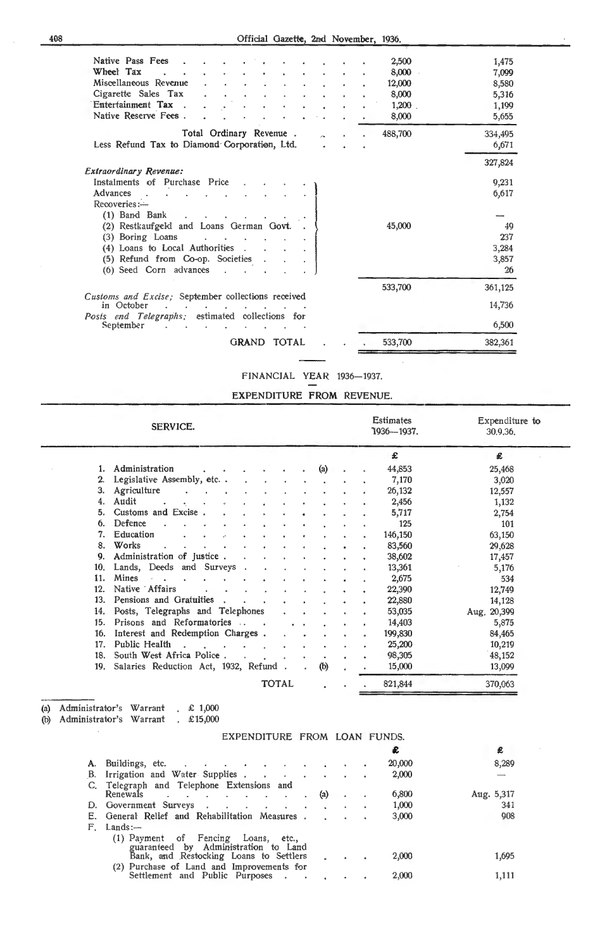| Native Pass Fees                                                 | 2,500   | 1,475   |
|------------------------------------------------------------------|---------|---------|
| Wheel Tax                                                        | 8,000   | 7,099   |
| Miscellaneous Revenue                                            | 12,000  | 8,580   |
| Cigarette Sales Tax                                              | 8,000   | 5,316   |
| Entertainment Tax<br>$\sim$                                      | 1,200   | 1,199   |
| Native Reserve Fees.                                             | 8,000   | 5,655   |
| Total Ordinary Revenue.                                          | 488,700 | 334,495 |
| Less Refund Tax to Diamond Corporation, Ltd.                     |         | 6,671   |
| <b>Extraordinary Revenue:</b>                                    |         | 327,824 |
| Instalments of Purchase Price                                    |         | 9,231   |
| Advances                                                         |         | 6,617   |
| Reoversies:                                                      |         |         |
| (1) Band Bank                                                    |         |         |
| (2) Restkaufgeld and Loans German Govt.                          | 45,000  | 49      |
| (3) Boring Loans<br><b>Contract Contract Street</b>              |         | 237     |
| (4) Loans to Local Authorities.                                  |         | 3,284   |
| (5) Refund from Co-op. Societies                                 |         | 3,857   |
| (6) Seed Corn advances                                           |         | 26      |
|                                                                  | 533,700 | 361,125 |
| Customs and Excise; September collections received<br>in October |         | 14,736  |
| Posts end Telegraphs; estimated collections for<br>September     |         | 6,500   |
| <b>GRAND</b><br><b>TOTAL</b>                                     | 533,700 | 382,361 |

FINANCIAL YEAR 1936-1937.

 $\bar{z}$ 

# EXPENDITURE FROM REVENUE.

|     | SERVICE.                                  |              |           |     |  | <b>Estimates</b><br>"1936--- 1937. | Expenditure to<br>30.9.36. |
|-----|-------------------------------------------|--------------|-----------|-----|--|------------------------------------|----------------------------|
|     |                                           |              |           |     |  | £                                  | £                          |
|     | 1. Administration                         |              |           | (a) |  | 44,853                             | 25,468                     |
| 2.  | Legislative Assembly, etc                 |              |           |     |  | 7,170                              | 3,020                      |
| З.  | Agriculture                               |              |           |     |  | 26,132                             | 12,557                     |
| 4.  | Audit                                     |              |           |     |  | 2,456                              | 1,132                      |
| 5.  | Customs and Excise.                       |              |           |     |  | 5,717                              | 2,754                      |
| 6.  | Defence                                   |              |           |     |  | 125                                | 101                        |
| 7.  | Education                                 |              |           |     |  | 146,150                            | 63,150                     |
| 8.  | Works                                     |              |           |     |  | 83,560                             | 29,628                     |
| 9.  | Administration of Justice.                |              |           |     |  | 38,602                             | 17,457                     |
|     | 10. Lands, Deeds and Surveys              |              |           |     |  | 13,361                             | 5,176                      |
| 11. | Mines                                     |              |           |     |  | 2,675                              | 534                        |
| 12. | Native Affairs                            |              |           |     |  | 22,390                             | 12,749                     |
| 13. | Pensions and Gratuities.                  |              |           |     |  | 22,880                             | 14,128                     |
| 14. | Posts, Telegraphs and Telephones          |              |           |     |  | 53,035                             | Aug. 20,399                |
| 15. | Prisons and Reformatories.                | $\sim$       |           |     |  | 14,403                             | 5,875                      |
| 16. | Interest and Redemption Charges.          |              |           |     |  | 199,830                            | 84,465                     |
| 17. | Public Health<br>$\bullet$                |              |           |     |  | 25,200                             | 10,219                     |
| 18. | South West Africa Police.<br>$\Delta$     |              |           |     |  | 98,305                             | 48,152                     |
|     | 19. Salaries Reduction Act, 1932, Refund. |              | $\bullet$ | (b) |  | 15,000                             | 13,099                     |
|     |                                           | <b>TOTAL</b> |           |     |  | 821,844                            | 370,063                    |

### (b) Administrator's Warrant £15,000

# EXPENDITURE FROM LOAN FUNDS.

|    |                                                                              |     |  |        | £          |
|----|------------------------------------------------------------------------------|-----|--|--------|------------|
| А. | Buildings, etc.<br><b>Contract Contract Ave</b>                              |     |  | 20,000 | 8,289      |
| В. | Irrigation and Water Supplies<br>$\sim 100$ km s $^{-1}$<br>$\sim$           |     |  | 2,000  |            |
|    | Telegraph and Telephone Extensions and                                       |     |  |        |            |
|    | Renewals<br>$\bullet$                                                        | (a) |  | 6,800  | Aug. 5,317 |
|    | D. Government Surveys                                                        |     |  | 1,000  | 341        |
|    | E. General Relief and Rehabilitation Measures.                               |     |  | 3,000  | 908        |
| F. | Lands:                                                                       |     |  |        |            |
|    | (1) Payment of Fencing Loans,<br>etc<br>guaranteed by Administration to Land |     |  |        |            |
|    | Bank, and Restocking Loans to Settlers                                       |     |  | 2,000  | 1,695      |
|    | (2) Purchase of Land and Improvements for                                    |     |  |        |            |
|    | Settlement and Public Purposes                                               |     |  | 2,000  | 1,111      |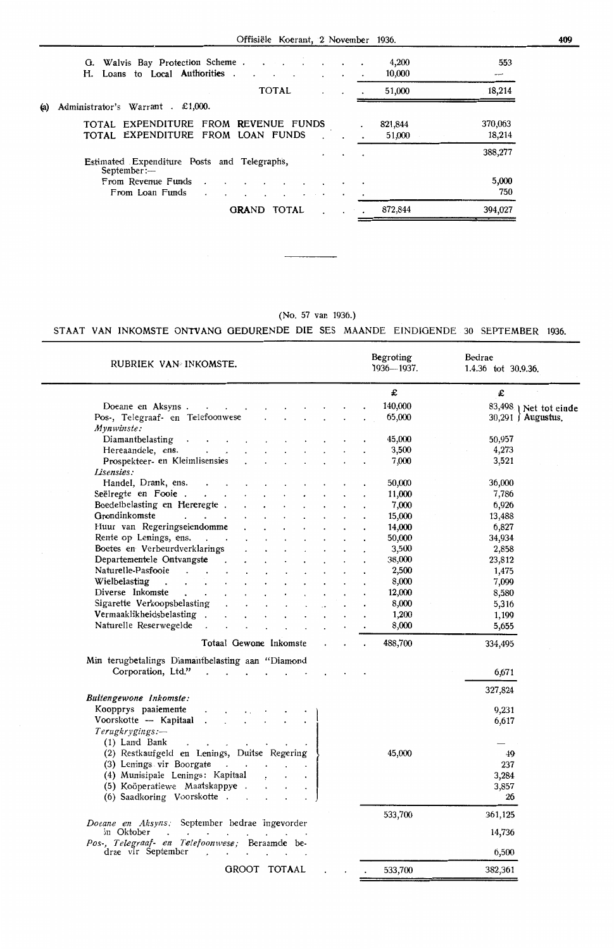Offisiële Koerant, 2 November 1936.

| H. Loans to Local Authorities.                                                                                                                         | $\cdot$<br>$\bullet$ | 4,200<br>10,000   | 553               |
|--------------------------------------------------------------------------------------------------------------------------------------------------------|----------------------|-------------------|-------------------|
| <b>TOTAL</b><br>$\hat{\phantom{a}}$                                                                                                                    | $\cdot$              | 51,000            | 18,214            |
| Administrator's Warrant . £1,000.<br>(a)                                                                                                               |                      |                   |                   |
| TOTAL EXPENDITURE FROM REVENUE FUNDS<br>TOTAL EXPENDITURE FROM LOAN FUNDS                                                                              |                      | 821,844<br>51,000 | 370,063<br>18,214 |
| Estimated Expenditure Posts and Telegraphs,<br>September:                                                                                              | $\bullet$            |                   | 388,277           |
| From Revenue Funds<br>$\overline{\phantom{a}}$<br>$\sim$<br>$\bullet$<br>From Loan Funds<br>$\ddot{\phantom{0}}$<br>$\cdot$<br>$\cdot$ $\cdot$ $\cdot$ | $\cdot$              |                   | 5,000<br>750      |
| <b>GRAND</b><br><b>TOTAL</b>                                                                                                                           |                      | 872,844           | 394,027           |

(No. 57 van 1936.)

# STAAT VAN INKOMSTE ONTVANG GEDURENDE DIE SES MAANDE EINDIGENDE 30 SEPTEMBER 1936.

| RUBRIEK VAN INKOMSTE.                                                                                                         |                      |                      | Begroting<br>$1936 - 1937.$ | Bedrae<br>1.4.36 tot 30.9.36. |
|-------------------------------------------------------------------------------------------------------------------------------|----------------------|----------------------|-----------------------------|-------------------------------|
|                                                                                                                               |                      |                      | £                           | £                             |
|                                                                                                                               |                      |                      | 140,000                     | 83,498 ) Net tot einde        |
| Pos-, Telegraaf- en Telefoonwese<br>$\mathbf{r} = \mathbf{r}$                                                                 | $\ddot{\phantom{0}}$ |                      | 65,000                      | $30,291$ $\hat{)}$ Augustus.  |
| Mynwinste:                                                                                                                    |                      |                      |                             |                               |
| Diamanthelasting<br>$\ddot{\phantom{a}}$                                                                                      |                      |                      | 45,000                      | 50,957                        |
| Hereaandele, ens.                                                                                                             |                      |                      | 3,500                       | 4,273                         |
| Prospekteer- en Kleimlisensies                                                                                                |                      |                      | 7,000                       | 3,521                         |
| Lisensies:                                                                                                                    |                      |                      |                             |                               |
| Handel, Drank, ens.                                                                                                           |                      |                      | 50,000                      | 36,000                        |
| Seëlregte en Fooie                                                                                                            |                      |                      | 11,000                      | 7,786                         |
| Boedelbelasting en Hereregte.                                                                                                 |                      |                      | 7,000                       | 6,926                         |
| Grondinkomste<br>$\mathbf{r}$ , $\mathbf{r}$ , $\mathbf{r}$                                                                   |                      |                      | 15,000                      | 13,488                        |
| Huur van Regeringseiendomme                                                                                                   |                      |                      | 14,000                      | 6,827                         |
| Rente op Lenings, ens.                                                                                                        |                      |                      | 50,000                      | 34,934                        |
| Boetes en Verbeurdverklarings                                                                                                 |                      |                      | 3,500                       | 2,858                         |
| Departementele Ontvangste .                                                                                                   |                      | $\ddot{\phantom{a}}$ | 38,000                      | 23,812                        |
| Naturelle-Pasfooie<br>$\mathbf{r}$ and $\mathbf{r}$ and $\mathbf{r}$                                                          |                      |                      | 2,500                       | 1,475                         |
| Wielbelasting<br>and the contract of the con-                                                                                 |                      |                      | 8,000                       | 7,099                         |
| Diverse Inkomste                                                                                                              |                      |                      | 12,000                      | 8,580                         |
| Sigarette Verkoopsbelasting<br>$\sim$<br>$\cdot$                                                                              | $\mathbf{r}$         |                      | 8,000                       | 5,316                         |
| Vermaaklikheidsbelasting .                                                                                                    |                      |                      | 1,200                       | 1,199                         |
| Naturelle Reserwegelde.<br>$\sim 10^{-10}$<br>$\sim$                                                                          |                      |                      | 8,000                       | 5,655                         |
| Totaal Gewone Inkomste                                                                                                        |                      |                      | 488,700                     | 334,495                       |
| Min terugbetalings Diamantbelasting aan "Diamond                                                                              |                      |                      |                             |                               |
| Corporation, Ltd."<br>$\mathbf{L}$<br>$\mathcal{L}^{\text{max}}$<br>$\mathbf{L}$                                              | $\sim$               |                      |                             | 6,671                         |
|                                                                                                                               |                      |                      |                             |                               |
| Buitengewone Inkomste:                                                                                                        |                      |                      |                             | 327,824                       |
| Koopprys paaiemente                                                                                                           |                      |                      |                             | 9,231                         |
| Voorskotte -- Kapitaal<br>$\mathbf{r}$                                                                                        |                      |                      |                             | 6,617                         |
| Terugkrygings:-                                                                                                               |                      |                      |                             |                               |
| (1) Land Bank<br>$\mathbf{r} = \mathbf{r}$                                                                                    |                      |                      |                             |                               |
| (2) Restkaufgeld en Lenings, Duitse Regering                                                                                  |                      |                      | 45,000                      | 49                            |
| (3) Lenings vir Boorgate                                                                                                      |                      |                      |                             | 237                           |
| (4) Munisipale Lenings: Kapitaal                                                                                              |                      |                      |                             | 3,284                         |
| (5) Koöperatiewe Maatskappye .                                                                                                |                      |                      |                             | 3,857                         |
| (6) Saadkoring Voorskotte                                                                                                     |                      |                      |                             | 26                            |
|                                                                                                                               |                      |                      | 533,700                     | 361,125                       |
| Doeane en Aksyns, September bedrae ingevorder<br>in Oktober<br>$\ddot{\phantom{a}}$<br>the control of the control of the con- |                      |                      |                             | 14,736                        |
| Pos-, Telegraaf- en Telefoonwese; Beraamde be-<br>drae vir September<br>$\cdot$                                               |                      |                      |                             | 6,500                         |
| GROOT TOTAAL                                                                                                                  |                      |                      | 533,700                     | 382,361                       |
|                                                                                                                               |                      |                      |                             |                               |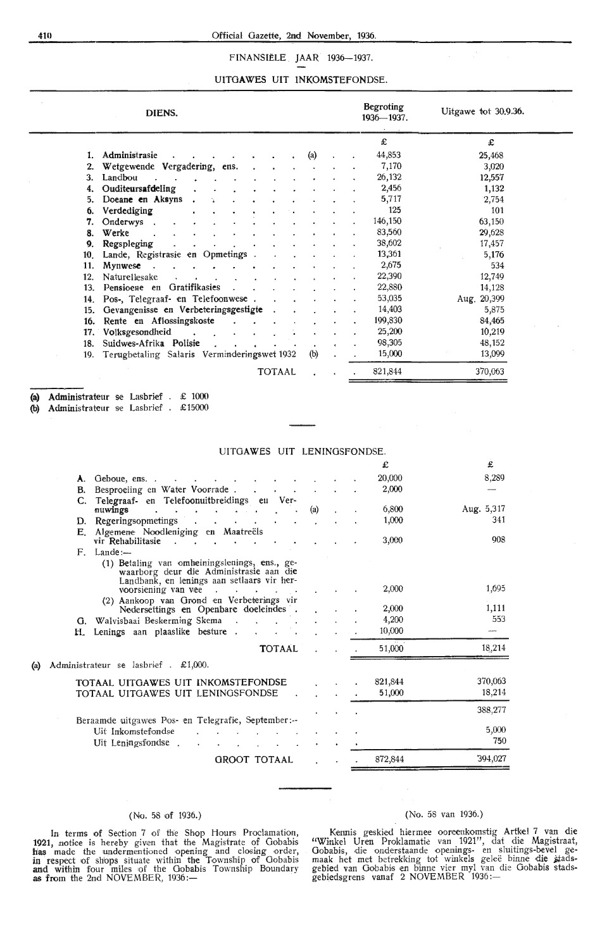# 410 Official Gazette, 2nd November, 1936.

# FINANSIËLE JAAR 1936-1937.

# UITGAWES UIT INKOMSTEFONDSE.

|                 | DIENS.                                      |               |                   |  | Begroting<br>$1936 - 1937.$ | Uitgawe tot 30,9.36. |
|-----------------|---------------------------------------------|---------------|-------------------|--|-----------------------------|----------------------|
|                 |                                             |               |                   |  | £                           | £                    |
| 1.              | Administrasie                               |               | $\left( a\right)$ |  | 44,853                      | 25,468               |
| 2.              | Wetgewende Vergadering, ens.                |               |                   |  | 7,170                       | 3,020                |
| 3.              | Landbou                                     |               |                   |  | 26,132                      | 12,557               |
| 4.              | Ouditeursafdeling                           |               |                   |  | 2,456                       | 1,132                |
| 5.              | Doeane en Aksyns                            |               |                   |  | 5,717                       | 2,754                |
| 6.              | Verdediging                                 |               |                   |  | 125                         | 101                  |
| 7.              | Onderwys .                                  |               |                   |  | 146,150                     | 63,150               |
| 8.              | Werke                                       |               |                   |  | 83,560                      | 29,628               |
| 9.              | Regspleging                                 |               |                   |  | 38,602                      | 17,457               |
| 10 <sub>1</sub> | Lande, Registrasie en Opmetings             |               |                   |  | 13,361                      | 5,176                |
| 11.             | Mynwese                                     |               |                   |  | 2,675                       | 534                  |
| 12.             | Naturellesake                               |               |                   |  | 22,390                      | 12,749               |
| 13.             | Pensioene en Gratifikasies                  |               |                   |  | 22,880                      | 14,128               |
|                 | 14. Pos-, Telegraaf- en Telefoonwese.       |               |                   |  | 53,035                      | Aug. 20,399          |
| 15.             | Gevangenisse en Verbeteringsgestigte        |               |                   |  | 14,403                      | 5,875                |
| 16.             | Rente en Aflossingskoste                    |               |                   |  | 199,830                     | 84,465               |
| 17.             | Volksgesondheid<br>$\sim$                   |               |                   |  | 25,200                      | 10,219               |
| 18.             | Suidwes-Afrika Polisie                      |               |                   |  | 98,305                      | 48,152               |
| 19.             | Terugbetaling Salaris Verminderingswet 1932 |               | (b)               |  | 15,000                      | 13,099               |
|                 |                                             | <b>TOTAAL</b> |                   |  | 821,844                     | 370,063              |

**(a) Administrateur** se Lasbrief £ 1000

**(b)** Administrateur se Lasbrief . £15000

|                                                                                                                                        | £       | £            |
|----------------------------------------------------------------------------------------------------------------------------------------|---------|--------------|
| A. Geboue, ens                                                                                                                         | 20,000  | 8,289        |
| Besproeiing en Water Voorrade.<br>В.                                                                                                   | 2,000   |              |
| C. Telegraaf- en Telefoonuitbreidings en Ver-                                                                                          |         |              |
| (a)<br>nuwings<br>$\sim$<br>$\sim$<br>$\bullet$                                                                                        | 6,800   | Aug. 5,317   |
| D. Regeringsopmetings .<br>contact the contact of the                                                                                  | 1,000   | 341          |
| E. Algemene Noodleniging en Maatreëls<br>vir Rehabilitasie                                                                             | 3,000   | 908          |
| $F$ . Lande:-                                                                                                                          |         |              |
| (1) Betaling van omheiningslenings, ens., ge-<br>waarborg deur die Administrasie aan die<br>Landbank, en lenings aan setlaars vir her- |         |              |
| voorsiening van vee<br>$\sim$                                                                                                          | 2,000   | 1,695        |
| (2) Aankoop van Grond en Verbeterings vir<br>Nedersettings en Openbare doeleindes.                                                     | 2,000   | 1,111        |
| G. Walvisbaai Beskerming Skema                                                                                                         | 4,200   | 553          |
| Lenings aan plaaslike besture.<br>H.                                                                                                   | 10,000  |              |
| <b>TOTAAL</b>                                                                                                                          | 51,000  | 18,214       |
| Administrateur se lasbrief . £1,000.<br>(a)                                                                                            |         |              |
| TOTAAL UITGAWES UIT INKOMSTEFONDSE                                                                                                     | 821,844 | 370,063      |
| TOTAAL UITGAWES UIT LENINGSFONDSE                                                                                                      | 51,000  | 18,214       |
|                                                                                                                                        |         | 388,277      |
| Beraamde uitgawes Pos- en Telegrafie, September:--                                                                                     |         |              |
| Uit Inkomstefondse                                                                                                                     |         | 5,000<br>750 |
| Uit Leningsfondse.                                                                                                                     |         |              |
| GROOT TOTAAL                                                                                                                           | 872,844 | 394,027      |

# UITOAWES UIT LENINOSFONDSE.

# (No. 58 of 1936.)

In terms of Section 7 of the Shop Hours Proclamation, **1921,** notice is hereby given that the Magistrate of Gobahis has made the undermentioned opening and closing order, in respect of shops situate within the Township of Gobabis and within four miles of the Gobabis Township Boundary **as from** the 2nd NOVEMBER, 1936 :- .

# (No. 58 van 1936.)

K•ennis geskied hiermee ooreenkomstig Artkel 7 van die "Winkel Uren Prok lama *tie* van 1921", dat diie Magistraat, Gobabis, die onderstaande openings- en sluitings-bevel gemaak het met betrekking tot winkels gelee binne die stadsgebied van Gobabis en binne vier myl van die Gobabis stads-<br>gebiedsgrens vanaf 2 NOVEMBER 1936:—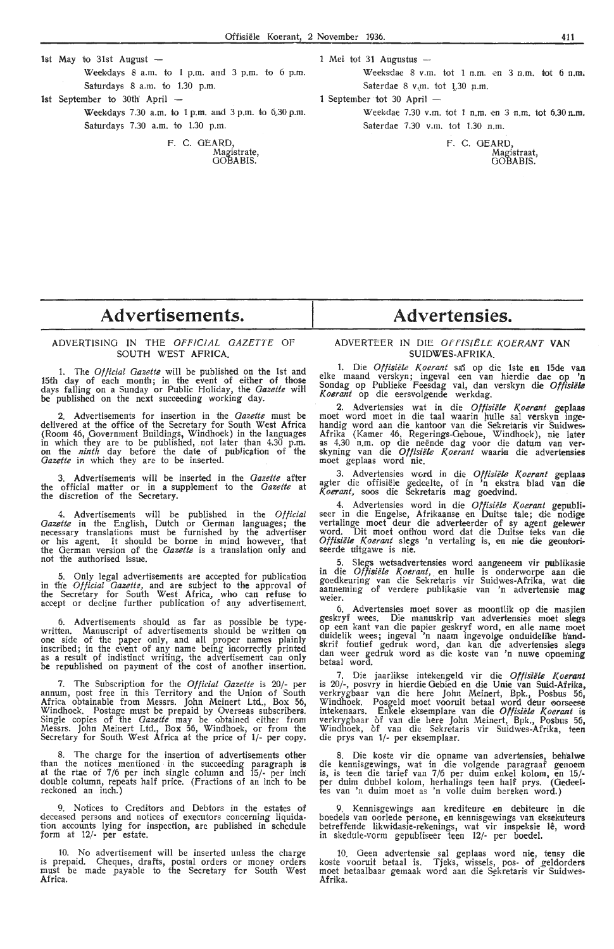- 1st May to 31st August  $-$ Weekdays 8 a.m. to 1 p.m. and 3 p.m. to 6 p.m. Saturdays 8 a.m. to 1.30 p.m.
- 1st September to 30th April
	- Weekdays 7.30 a.m. to 1 p.m. and 3 p.m. to 6.30 p.m. Saturdays 7.30 a.m. to 1.30 p.m.

F. C. GEARD, Magistrate, GOBABIS.

- 1 Mei tot 31 Augustus
	- Weeksdae 8 v.m. tot 1 n.m. en 3 n.m. tot 6 n.m. Saterdae 8 v.m. tot 1.30 n.m.
- 1 September tot 30 April -
	- Weekdae 7.30 v.m. tot 1 n.m. en 3 n.m. tot 6.30 n.m. Saterdae 7.30 v.m. tot 1.30 n.m.

F. C. GEARD, Magistraat, OOBABIS.

# **Advertisements.**

# ADVERTISING IN THE OFFICIAL GAZETTE OF SOUTH WEST AFRICA.

1. The *Official Gazette* will be published on the 1st and 15th day of each month; in the event of either of those days falling on a Sunday or Public Holiday, the *Gazette* will be published on the next succeeding working day.

2. Advertisements for insertion in the *Gazette* must be delivered at the office of the Secretary for South West Africa (Room 46, Government Buildings, Windhoek) in the languages in which they are to be published, not later than 4.30 p.m.<br>on the *ninth* day before the date of publication of the *Gazette* in which they are to be inserted.

Advertisements will be inserted in the *Gazette* after the official matter or in a supplement to the *Gazette* at the discretion of the Secretary.

4. Advertisements will be published in the Official *Gazette* in the English, Dutch or German languages; the necessary translations must be furnished by the advertiser<br>or his agent. It should be borne in mind however, that the German version of the *Gazette* is a translation only and not the authorised issue.

5. Only legal advertisements are accepted for publication in the *Official Gazette*, and are subject to the approval of the Secretary for South West Africa, who can refuse to accept or decline further publication of any advertisement.

6. Advertisements should as far as possible be typewritten. Manuscript of advertisements should be written on<br>one side of the paper only, and all proper names plainly inscribed; in the event of any name being incorrectly printed as a result 9f indistinct writing, the advertisement can only be republished on payment of the cost of another insertion.

7. The Subscription for the *Official Gazette* is 20/- per annum, post free in this Territory and the Union of South Africa obtainable from Messrs. John Meinert Ltd., Box 56, Windhoek. Postage must be prepaid by Overseas subscribers. Single copies of the *Gazette* may be obtained either from Messrs. John Meinert Ltd., Box 56, Windhoek, or from the Secretary for South West Africa at the price of 1/· per oopy.

8. The charge for the insertion of advertisements other than the notices mentioned · in the succeeding paragraph is at the rtae of 7/6 per inch single column and 15/- per inch double column, repeats half price. (Fractions of an inch to be reckoned an inch.)

9. Notices to Creditors and Debtors in the estates of deceased persons and notices of executors concerning liquidation accounts lying for inspection, are published in schedule form at 12/· per estate.

10. No advertisement will be inserted unless the charge is prepaid. Cheques, drafts, postal orders or money orders must be made payable to the Secretary for South West Africa.

# **Advertensies.**

# ADVERTEER IN DIE OFFISIELE KOERANT VAN SUIDWES-AFRIKA.

1. Die *Oftisiifle Koerant* sai op die lste en 15de van elke maand verskyn; ingeval een van hi-erdie dae op **'n**  Sondag op Publieke Feesdag val, dan verskyn die Offisiële *Koerant* op die eersvolgende werkdag.

2. Advertensies wat in die Offisiële Koerant geplaas moet word moet in die taal waarin hulle sal verskyn ingehandig word aan die kantoor van die Sekretaris vir Suidwes• Afrika (Kamer 46, Regerings-Geboue, Windhoek), nie later as 4.30 n.m. op die neende dag voor die datum van ver- skyning van die *Otfisii!le Koerant* waarin di,e advertensies moet geplaas word nie.

3. Advertensies word in die Offisiële Koerant geplaas agter die offisiele gedeelte, of in 'n ekstra blad van die *Koerant,* soos die Sekretaris mag goedvind.

4. Advertensies word in die Offisiële Koerant gepubli-<br>seer in die Engelse, Afrikaanse en Duitse tale; die nodige vertalinge moet deur die adverteerder of sy agent **gelewer**  word. Dit moet onthou word dat die Duitse teks van die *Oftisiifte Koerant* slegs 'n vertaling is, en nie die geoutori- seerde uitgawe is nie.

5. Slegs wetsadvertensies word aangeneem vir publikasie in die Offisiële Koerant, en hulle is onderworpe aan die goedkeuring van die Sekretaris vir Suidwes-Afrika, wat **die**  aanneming of verdere publikasie van 'n advertensie mag weier.

6. Advertensies moet sover as moontlik op die masjien geskryf wees. Die manuskrip van advertensies moet slegs op een kant van die papier geskryf word, en alle name moet duidelik wees; ingeval 'n naam ingevolge onduidelike handskrif foutief gedruk word, dan kan die advertensies slegs dan weer gedruk word as die koste van 'n nuwe opneming<br>betaal word.

7. Die jaarlikse intekengeld vir die Offisiële Koerant is 20/-, posvry in hierdie Gebied en die Unie van Suid-Afrika, verkrygbaar van die here John Meinert, Bpk., Posbus 56, Windhoek. Posgeld moet vooruit betaal word deur oorseese<br>intekenaars. Enkele eksemplare van die *Offisiële Koerant* is verkrygbaar of van die here John Meinert, Bpk., Posbus 56, Windhoek, of van die Sekretaris vir Suidwes-Afrika, teen die prys van 1/· per eksemplaar.

8. Die koste vir die opname van advertensies, behalwe die kennisgewings, wat in die volgende paragraaf genoem is, is teen die tarief van 7/6 per duim enkel kolom, en 15/ per duim dubbel kolom, herhalings teen half prys. (Gedeel-<br>tes van 'n duim moet as 'n volle duim bereken word.)

Kennisgewings aan krediteure en debiteure in die boedels van oorlede persone, en kennisgewings van eksekuteurs betreffende likwidasie-rekenings, wat vir inspeksie lê, word in skedule-vorm gepubliseer teen 12/· per boedel.

10. Geen advertensie sal geplaas word nie, tensy **die**  koste vooruit betaal is. Tjeks, wissels, pos- of geldorders moet betaalbaar gemaak word aan die Sekretaris vir Suidwes-Afrika.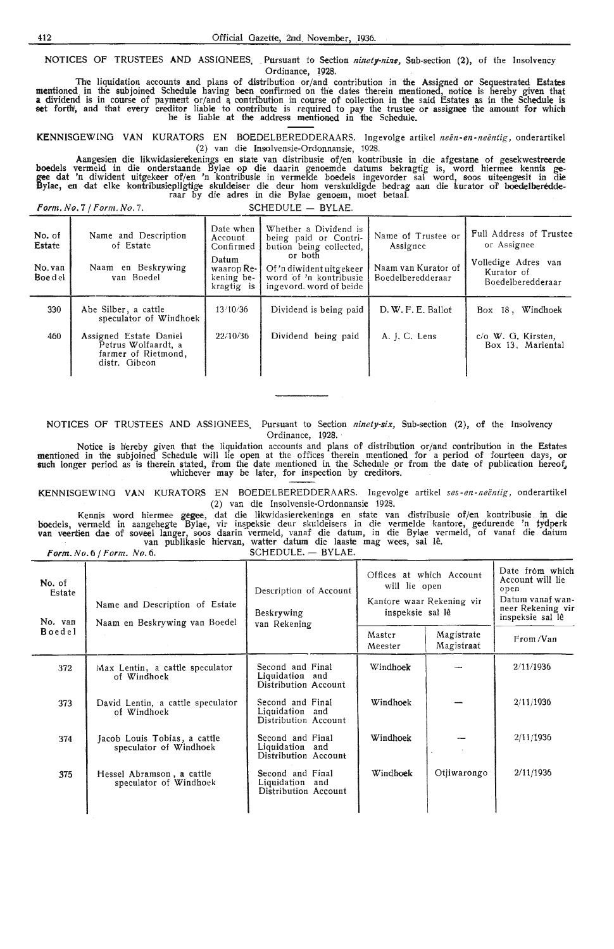NOTICES OF TRUSTEES AND ASSIGNEES. Pursuant to Section *ninety-nine*, Sub-section (2), of the Insolvency Ordinance, 1928.

The liquidation accounts and plans of distribution or/and contribution in the Assigned or Sequestrated Estates mentioned. in the subjoined Schedule having been confirmed on the dates therein mentioned, notice is hereby given that a dividend is in course of payment or/and a contribution in course of collection in the said Estates as in the Schedule is set forth, and that every creditor liable to contribute is required to pay the trustee or assignee the amount for which he is liable at the address mentioned in the Schedule.

KENNISGEWING VAN KURATORS EN BOEDELBEREDDERAARS. lngevolge artikel *neen-en-neentig,* onderartikel (2) van die Insolvensie-Ordonnansie, 1928.

Aangesien die likwiclasierekenings en state van distribusie of/en kontribusie in die afgestane of gesekwestreerdie boedels vermeld in die onderstaande Bylae op die daarin genoemde datums bekragtig is, word hiermee kennis gegee dat 'n diwident uitgekeer of/en 'n kontribusie in vermelde boedels ingevorder sal word, soos uiteengesit in die<br>Bylae, en dat elke kontribusiepligtige skuldeiser die deur hom verskuldigde bedrag aan die kurator of boed

Form. No. 7 / Form. No. 7. SCHEDULE - BYLAE.

| No. of<br>Estate<br>No. van<br>Boe d el | Name and Description<br>of Estate<br>Naam en Beskrywing<br>van Boedel                 | Date when<br>Account<br>Confirmed<br>Datum<br>waarop $Re-$<br>kening be-<br>kragtig is | Whether a Dividend is<br>being paid or Contri-<br>bution being collected,<br>or both<br>Of 'n diwident uitgekeer<br>word of 'n kontribusie<br>ingevord, word of beide | Name of Trustee or<br>Assignee<br>Naam van Kurator of<br>Boedelberedderaar | Full Address of Trustee<br>or Assignee<br>Volledige Adres van<br>Kurator of<br>Boedelberedderaar |
|-----------------------------------------|---------------------------------------------------------------------------------------|----------------------------------------------------------------------------------------|-----------------------------------------------------------------------------------------------------------------------------------------------------------------------|----------------------------------------------------------------------------|--------------------------------------------------------------------------------------------------|
| 330                                     | Abe Silber, a cattle<br>speculator of Windhoek                                        | 13/10/36                                                                               | Dividend is being paid                                                                                                                                                | D. W. F. E. Ballot                                                         | Windhoek<br>Box 18,                                                                              |
| 460                                     | Assigned Estate Daniel<br>Petrus Wolfaardt, a<br>farmer of Rietmond,<br>distr. Gibeon | 22/10/36                                                                               | Dividend being paid                                                                                                                                                   | A. J. C. Lens                                                              | c/o W. G. Kirsten.<br>Box 13. Mariental                                                          |

**NOTICES** OF TRUSTEES **AND** ASSIGNEES. Pursuant to Section *ninety-six,* Sub-section **(2),** of the Insolvency Ordinance, 1928.

Notice is h'ereby given that the liquidation accounts and plans of distribution or/and contribution in the Estates mentioned in the subjoined Schedule will lie open at the offices therein mentioned for a period of fourteen days, or<br>such longer period as is therein stated, from the date mentioned in the Schedule or from the date of publ whichever may be later, for inspection by creditors.

KENNISOEWINO VAN KURATORS EN BOEDELBEREDDERAARS. Ingevolge artikel *ses- en -neentig,* onderartikel (2) van die Insolvensie-Ordonnansie 1928.

Kennis word hiermee gegee, dat die likwidasierekenings en state van distribusie of/en kontribusie in die boedels, vermeld in aangehegte Bylae, vir inspeksie deur skuldeisers in die vermelde kantore, gedurende 'n tydperk<br>van veertien dae of soveel langer, soos daarin vermeld, vanaf die datum, in die Bylae vermeld, of vanaf die **Form.** *No.* 6 / *Form. No.* 6. SCHEDULE. - BYLAE.

| No. of<br>Estate<br>No. van | Name and Description of Estate<br>Naam en Beskrywing van Boedel | Description of Account<br>Beskrywing<br>van Rekening        | Offices at which Account<br>will lie open<br>Kantore waar Rekening vir<br>inspeksie sal lê |                          | Date from which<br>Account will lie<br>open<br>Datum vanaf wan-<br>neer Rekening vir<br>inspeksie sal lê |
|-----------------------------|-----------------------------------------------------------------|-------------------------------------------------------------|--------------------------------------------------------------------------------------------|--------------------------|----------------------------------------------------------------------------------------------------------|
| <b>Boedel</b>               |                                                                 |                                                             | Master<br>Meester                                                                          | Magistrate<br>Magistraat | From /Van                                                                                                |
| 372                         | Max Lentin, a cattle speculator<br>of Windhoek                  | Second and Final<br>Liquidation and<br>Distribution Account | Windhoek                                                                                   |                          | 2/11/1936                                                                                                |
| 373                         | David Lentin, a cattle speculator<br>of Windhoek                | Second and Final<br>Liquidation and<br>Distribution Account | Windhoek                                                                                   |                          | 2/11/1936                                                                                                |
| 374                         | Jacob Louis Tobias, a cattle<br>speculator of Windhoek          | Second and Final<br>Liquidation and<br>Distribution Account | Windhoek                                                                                   |                          | 2/11/1936                                                                                                |
| 375                         | Hessel Abramson, a cattle<br>speculator of Windhoek             | Second and Final<br>Liquidation and<br>Distribution Account | Windhoek                                                                                   | Otiiwarongo              | 2/11/1936                                                                                                |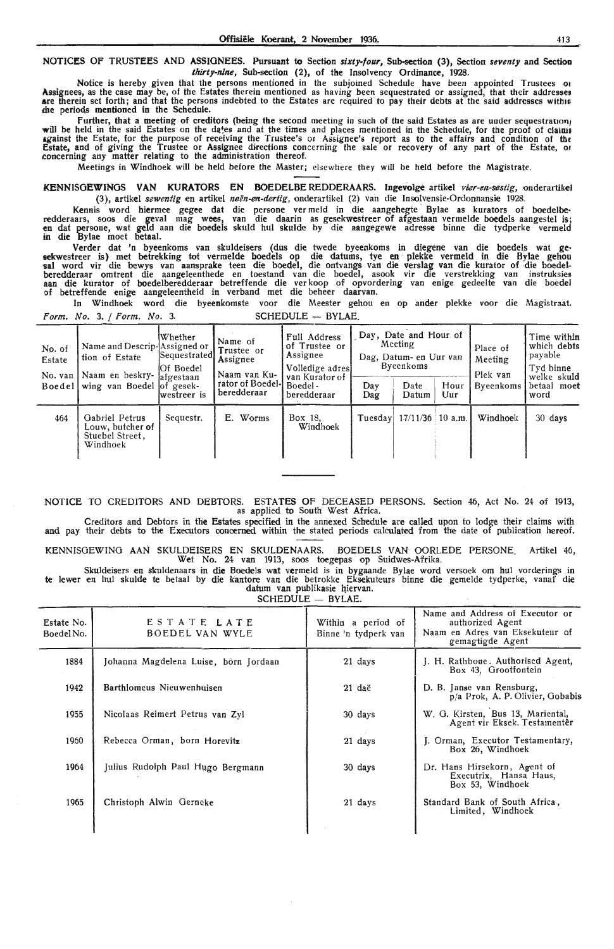NOTICES OF TRUSTEES AND ASSIGNEES. Pursuant to Section *sixty-four,* Sub-section (3), Section *seventy* and Sectioo *thirty-nine,* Sub-section (2), of the Insolvency Ordinance, 1928.

Notice is hereby given that the persons mentioned in the subjoined Schedule have been appointed Trustees or Assignees, as the case may be, of the Estates therein mentioned as having been sequestrated or assigned, that their addresses are therein set forth; and that the persons indebted to the Estates are required to pay their debts at the said addresses withis die periods mentioned in the Schedule.

further, that a meeting of creditors (being the second meeting in such of the said Estates as are under sequestration; will be held in the said Estates on the da\*es and at the times and places mentioned in the Schedule, for the proof of claimt 1gainst the Estate, for the purpose of receiving the Trustee's or Assignee's report as to the affairs and condition of tht Estate, and of giving the Trustee or Assignee directions concerning the sale or recovery of any part of the Estate, or concerning any matter relating to the administration thereof.

Meetings in Windhoek will be held before the Master; elsewhere they will be held before the Magistrate.

KENNISGEWINGS VAN KURATORS EN BOEDELBE REDDERAARS. Ingevolge artikel *vier-en-sestig*, onderartikel (3), artikel sewentig en artikel neën-en-dertig, onderartikel (2) van die Insolvensie-Ordonnansie 1928.

Kennis word hiermee gegee dat die persone ver meld in die aangehegte Bylae as kurators of boedelberedderaars, soos die geval mag wees, van die daarin as gesekwestreer of afgestaan vermelde boedels aangestel is; **en** dat persome, wat geld aan die boedels skuld hul skulde by die aangegewe adresse binne die tydperke vermeld in die Bylae moet betaal.

Verder dat 'n byeenkoms van skuldeisers (dus die twede byeenkoms in diegene van die boedels wat ge• sekwestreer is) met betrekking tot vermelde boedels op die datums, tye en plekke vermeld in die Bylae gehou<br>sal word vir die bewys van aansprake teen die boedel, die ontvangs van die verslag van die kurator of die boede<br>be of betreffende enige aangeleentheid in verband met die beheer daarvan.

In Windhoek word die byeenkomste voor die Meester gehou en op ander plekke voor die Magistraat. Form. No. 3. / Form. No. 3. SCHEDULE - BYLAE.

| No. of<br>Estate<br>No. van | Name and Descrip-Assigned or<br>tion of Estate<br>Naam en beskry- afgestaan<br>Boedel wing van Boedel of gesek- | lWhether<br> Sequestrated <br><b>Of Boedel</b><br>lwestreer is | Name of<br>Trustee or<br>Assignee<br>Naam van Ku-<br>rator of Boedel-l<br>beredderaar | Full Address<br>of Trustee or<br>Assignee<br>Volledige adres<br>van Kurator of<br>Boedel -<br>beredderaar | Day<br>Dag | Day, Date and Hour of<br><b>Meeting</b><br>Dag, Datum- en Uur van<br>Byeenkoms<br>Date<br>Datum | Hour<br>Uur | Place of<br>Meeting<br>Plek van<br>Byeenkoms | Time within<br>which debts<br>' payable<br>Tyd binne<br>welke sk <b>uld</b><br>betaal moet<br>word |
|-----------------------------|-----------------------------------------------------------------------------------------------------------------|----------------------------------------------------------------|---------------------------------------------------------------------------------------|-----------------------------------------------------------------------------------------------------------|------------|-------------------------------------------------------------------------------------------------|-------------|----------------------------------------------|----------------------------------------------------------------------------------------------------|
| 464                         | Gabriel Petrus<br>Louw, butcher of<br>Stuebel Street.<br>Windhoek                                               | Sequestr.                                                      | Worms<br>Е.                                                                           | Box 18.<br>Windhoek                                                                                       | Tuesdav    | $17/11/36$ 10 a.m.                                                                              |             | Windhoek                                     | 30 days                                                                                            |

NOTICE TO CREDITORS AND DEBTORS. ESTATES OF DECEASED PERSONS. Section 46, Act No. 24 of 1913, as applied to South' West Africa.

Creditors and Debtors in the Estates specified in the annexed Schedule are called upon to lodge their claims with and pay their debts to the Executors concerned within the stated periods calculated from the date of publication hereof.

KENNISOEWINO AAN SKULDEISERS EN SKULDENAARS. BOEDELS VAN OORLEDE PERSONE: Artikel 46, Wet No. 24 van 1913, soos toegepas op Suidwes-Afrika.

Skuldeisers en skuldenaars in **die** Boedels wat vermeld is in bygaande Bylae word versoek om hul vorderings in te lewer en hul skulde te betaal by die kantore van die betrokke Eksekuteurs binne die gemelde tydperke, vanaf die datum van publikasie hiervan. SCHEDULE - BYLAE.

| Estate No.<br>Boedel No. | ESTATE LATE<br>BOEDEL VAN WYLE        | Within a period of<br>Binne 'n tydperk van | Name and Address of Executor or<br>authorized Agent<br>Naam en Adres van Eksekuteur of<br>gemagtigde Agent |
|--------------------------|---------------------------------------|--------------------------------------------|------------------------------------------------------------------------------------------------------------|
| 1884                     | Johanna Magdelena Luise, born Jordaan | 21 days                                    | J. H. Rathbone. Authorised Agent,<br>Box 43, Grootfontein                                                  |
| 1942                     | Barthlomeus Nieuwenhuisen             | $21$ daë                                   | D. B. Janse van Rensburg,<br>p/a Prok, A. P. Olivier, Gobabis                                              |
| 1955                     | Nicolaas Reimert Petrus van Zyl       | 30 days                                    | W. G. Kirsten, Bus 13, Mariental,<br>Agent vir Eksek. Testamentêr                                          |
| 1960                     | Rebecca Orman, born Horevitz          | 21 days                                    | J. Orman, Executor Testamentary,<br>Box 26, Windhoek                                                       |
| 1964                     | Julius Rudolph Paul Hugo Bergmann     | 30 days                                    | Dr. Hans Hirsekorn, Agent of<br>Executrix, Hansa Haus,<br>Box 53, Windhoek                                 |
| 1965                     | Christoph Alwin Gerneke               | 21 days                                    | Standard Bank of South Africa,<br>Limited, Windhoek                                                        |
|                          |                                       |                                            |                                                                                                            |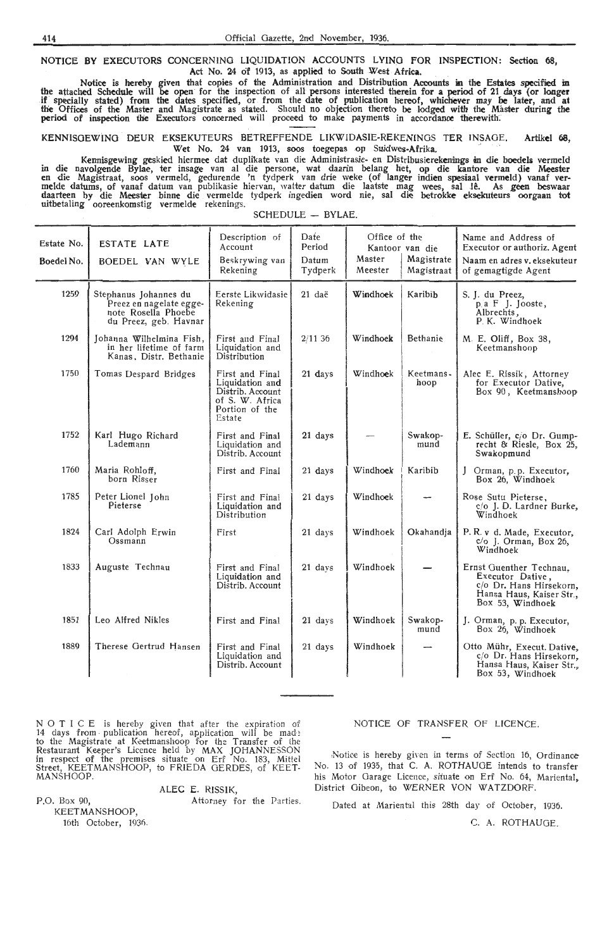NOTICE BY EXECUTORS CONCERNING LIQUIDATION ACCOUNTS LYING FOR INSPECTION: Section 68, Act No. 24 of 1913, as applied to South West Africa.

Notice is hereby given that copies of the Administration and Distribution Accounts in the Estates specified in the attached Schedule will be open for the inspection of all persons interested therein for a period of 21 days (or longer if' specially stated) from the dates specified, or from the date of publication hereof, whichever may be later, and at tlie Offioes of the Master and Magistrate as stated. Should no objection thereto be lodged with the Master during the period of inspection the Executors concerned will proceed to make payments in accordance therewith·.

KENNISOEWINO DEUR EKSEKUTEURS BETREFFENDE LIKWIDASIE-REKENINOS TER INSAGE. **Artikel 68,**  Wet No. 24 van 1913, soos toegepas op Suidwes-Afrika.

Kennisgewing geskied hiermee dat duplikate van die Administrasie- en Distribusierekenings in die boedels vermeld in die navolgende Bylae, ter insage van al die persone, wat daarin belang het, op die kantore van die Meester<br>en die Magistraat, soos vermeld, gedurende 'n tydperk van drie weke (of langer indien spesiaal vermeld) vanaf<br>me daarteen by die Meester binne die vermelde tydperk ingedien word nie, sal die betrokke eksekuteurs oorgaan tot uitbetaling ooreenkomstig vermelde rekenings.

| Estate No.<br>Boedel No. | ESTATE LATE<br>BOEDEL VAN WYLE                                                                   | Description of<br>Account<br>Beskrywing van<br>Rekening                                               | Date<br>Period<br>Datum<br>Tydperk | Office of the<br>Master<br>Meester | Kantoor van die<br>Magistrate<br>Magistraat | Name and Address of<br>Executor or authoriz. Agent<br>Naam en adres v. eksekuteur<br>of gemagtigde Agent               |
|--------------------------|--------------------------------------------------------------------------------------------------|-------------------------------------------------------------------------------------------------------|------------------------------------|------------------------------------|---------------------------------------------|------------------------------------------------------------------------------------------------------------------------|
| 1259                     | Stephanus Johannes du<br>Preez en nagelate egge-<br>note Rosella Phoebe<br>du Preez, geb. Havnar | Eerste Likwidasie  <br>Rekening                                                                       | 21 daë                             | Windhoek                           | Karibib                                     | S. J. du Preez,<br>p a F J. Jooste,<br>Albrechts,<br>P. K. Windhoek                                                    |
| 1294                     | Johanna Wilhelmina Fish,<br>in her lifetime of farm<br>Kanas, Distr. Bethanie                    | First and Final<br>Liquidation and<br>Distribution                                                    | 2/1136                             | Windhoek                           | Bethanie                                    | M. E. Oliff, Box 38,<br>Keetmanshoop                                                                                   |
| 1750                     | Tomas Despard Bridges                                                                            | First and Final<br>Liquidation and<br>Distrib. Account<br>of S. W. Africa<br>Portion of the<br>Estate | 21 days                            | Windhoek                           | Keetmans-<br>hoop                           | Alec E. Rissik, Attorney<br>for Executor Dative,<br>Box 90, Keetmanshoop                                               |
| 1752                     | Karl Hugo Richard<br>Lademann                                                                    | First and Final<br>Liquidation and<br>Distrib. Account                                                | 21 days                            |                                    | Swakop-<br>mund                             | E. Schüller, c/o Dr. Gump-<br>recht & Riesle, Box 25,<br>Swakopmund                                                    |
| 1760                     | Maria Rohloff,<br>born Risser                                                                    | First and Final                                                                                       | 21 days                            | Windhoek                           | Karibib                                     | J Orman, p.p. Executor,<br>Box 26, Windhoek                                                                            |
| 1785                     | Peter Lionel John<br>Pieterse                                                                    | First and Final<br>Liquidation and<br>Distribution                                                    | 21 days                            | Windhoek                           |                                             | Rose Sutu Pieterse,<br>c/o J. D. Lardner Burke,<br>Windhoek                                                            |
| 1824                     | Carl Adolph Erwin<br>Ossmann                                                                     | First                                                                                                 | 21 days                            | Windhoek                           | Okahandja                                   | P.R. v d. Made, Executor,<br>$c/o$ J. Orman, Box 26,<br>Windhoek                                                       |
| 1833                     | Auguste Technau                                                                                  | First and Final<br>Liquidation and<br>Distrib. Account                                                | 21 days                            | Windhoek                           |                                             | Ernst Guenther Technau,<br>Executor Dative,<br>c/o Dr. Hans Hirsekorn,<br>Hansa Haus, Kaiser Str.,<br>Box 53, Windhoek |
| 1851                     | Leo Alfred Nikles                                                                                | First and Final                                                                                       | 21 days                            | Windhoek                           | Swakop-<br>mund                             | J. Orman, p. p. Executor,<br>Box 26, Windhoek                                                                          |
| 1889                     | Therese Gertrud Hansen                                                                           | First and Final<br>Liquidation and<br>Distrib. Account                                                | 21 days                            | Windhoek                           |                                             | Otto Mühr, Execut. Dative,<br>c/o Dr. Hans Hirsekorn,<br>Hansa Haus, Kaiser Str.,<br>Box 53, Windhoek                  |

SCHEDULE - BYLAE.

N O T I C E is hereby given that after the expiration of 14 days from publication hereof, application will be mad: to the Magistrate at Keetmanshoop for the Transfer of the Restaurant Keeper's Licence held by MAX JOHANNESSON<br>in respect of the premises situate on Erf No. 183, Mittel Street, KEETMANSHOOP, to FRIEDA GERDES, of KEET-Street, KEET.<br>MANSHOOP.

ALEC E. RISSIK,

Attorney for the Parties.

KEETMANSHOOP, 16th October, 1936.

P.O. Box 90,

NOTICE OF TRANSFER OF LICENCE.

1Notioe is hereby given in terms of Section 16, Ordinance No. 13 of 1935, that C. A. ROTHAUGE intends to transfer his Motor Garage Licence, situate on Erf No. 64, Mariental, District Gibeon, to WERNER VON WATZDORF.

Dated at Mariental this 28th day of October, 1936.

C:. A. ROTHAUGE.